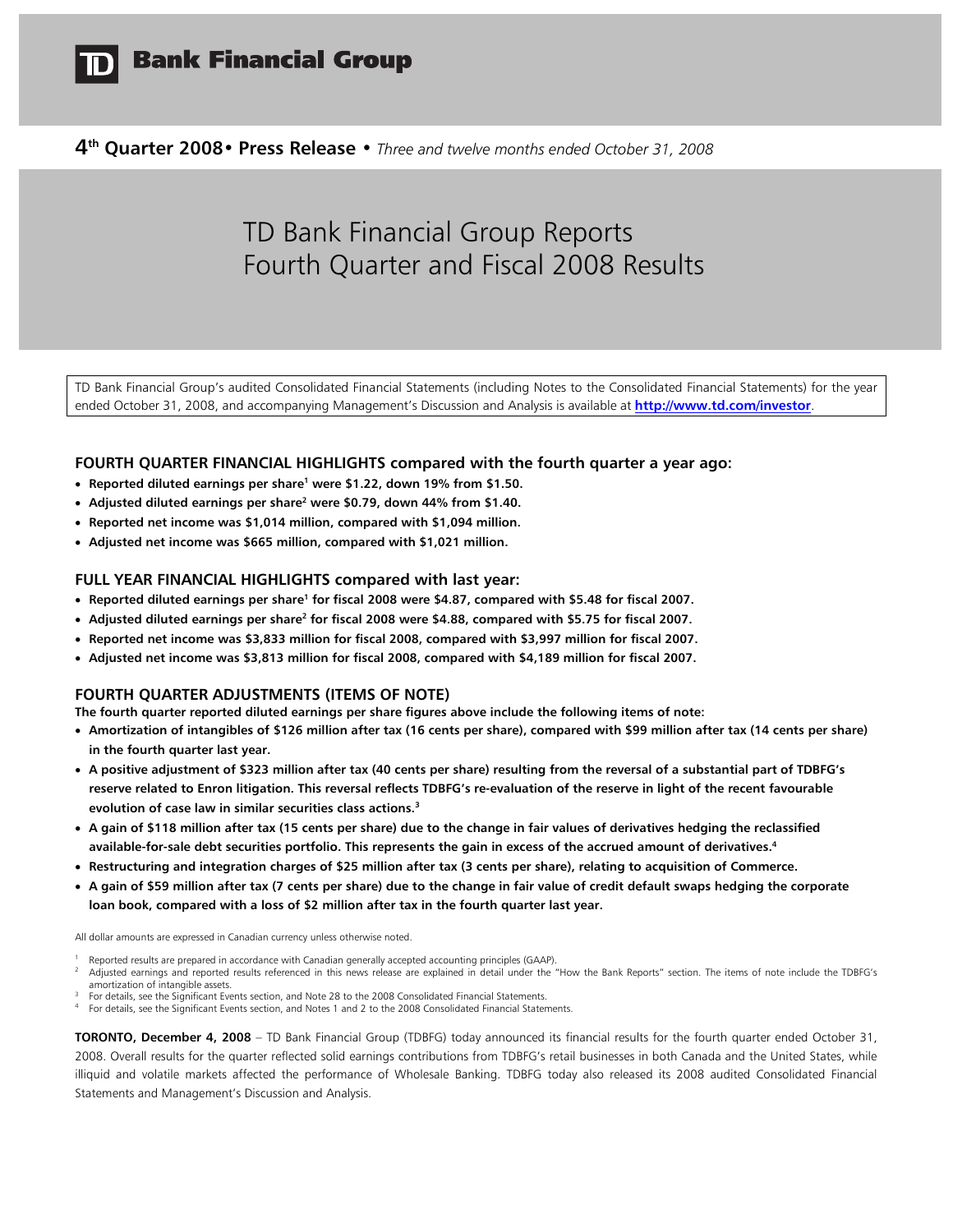

**4th Quarter 2008• Press Release •** *Three and twelve months ended October 31, 2008* 

# TD Bank Financial Group Reports Fourth Quarter and Fiscal 2008 Results

TD Bank Financial Group's audited Consolidated Financial Statements (including Notes to the Consolidated Financial Statements) for the year ended October 31, 2008, and accompanying Management's Discussion and Analysis is available at **http://www.td.com/investor**.

#### **FOURTH QUARTER FINANCIAL HIGHLIGHTS compared with the fourth quarter a year ago:**

- **Reported diluted earnings per share<sup>1</sup> were \$1.22, down 19% from \$1.50.**
- **Adjusted diluted earnings per share<sup>2</sup> were \$0.79, down 44% from \$1.40.**
- **Reported net income was \$1,014 million, compared with \$1,094 million.**
- **Adjusted net income was \$665 million, compared with \$1,021 million.**

#### **FULL YEAR FINANCIAL HIGHLIGHTS compared with last year:**

- **Reported diluted earnings per share<sup>1</sup> for fiscal 2008 were \$4.87, compared with \$5.48 for fiscal 2007.**
- **•** Adjusted diluted earnings per share<sup>2</sup> for fiscal 2008 were \$4.88, compared with \$5.75 for fiscal 2007.
- **Reported net income was \$3,833 million for fiscal 2008, compared with \$3,997 million for fiscal 2007.**
- **Adjusted net income was \$3,813 million for fiscal 2008, compared with \$4,189 million for fiscal 2007.**

#### **FOURTH QUARTER ADJUSTMENTS (ITEMS OF NOTE)**

**The fourth quarter reported diluted earnings per share figures above include the following items of note:** 

- **Amortization of intangibles of \$126 million after tax (16 cents per share), compared with \$99 million after tax (14 cents per share) in the fourth quarter last year.**
- **A positive adjustment of \$323 million after tax (40 cents per share) resulting from the reversal of a substantial part of TDBFG's reserve related to Enron litigation. This reversal reflects TDBFG's re-evaluation of the reserve in light of the recent favourable evolution of case law in similar securities class actions.3**
- **A gain of \$118 million after tax (15 cents per share) due to the change in fair values of derivatives hedging the reclassified available-for-sale debt securities portfolio. This represents the gain in excess of the accrued amount of derivatives.4**
- **Restructuring and integration charges of \$25 million after tax (3 cents per share), relating to acquisition of Commerce.**
- **A gain of \$59 million after tax (7 cents per share) due to the change in fair value of credit default swaps hedging the corporate loan book, compared with a loss of \$2 million after tax in the fourth quarter last year.**

All dollar amounts are expressed in Canadian currency unless otherwise noted.

- 
- Reported results are prepared in accordance with Canadian generally accepted accounting principles (GAAP).<br>Adjusted earnings and reported results referenced in this news release are explained in detail under the "How the B amortization of intangible assets.<br>For details, see the Significant Events section, and Note 28 to the 2008 Consolidated Financial Statements.<br>For details, see the Significant Events section, and Notes 1 and 2 to the 2008
- 
- 

**TORONTO, December 4, 2008** – TD Bank Financial Group (TDBFG) today announced its financial results for the fourth quarter ended October 31, 2008. Overall results for the quarter reflected solid earnings contributions from TDBFG's retail businesses in both Canada and the United States, while illiquid and volatile markets affected the performance of Wholesale Banking. TDBFG today also released its 2008 audited Consolidated Financial Statements and Management's Discussion and Analysis.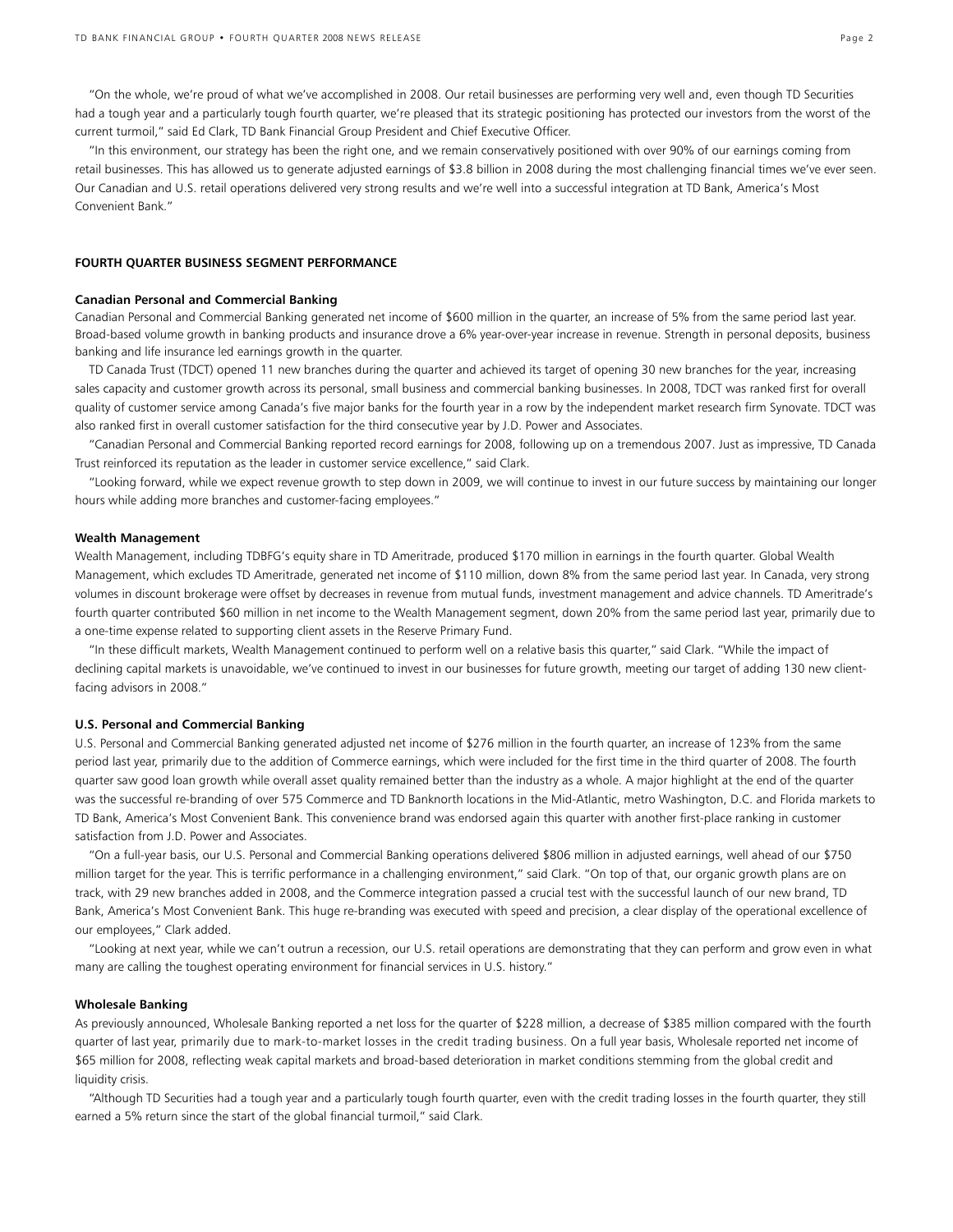"On the whole, we're proud of what we've accomplished in 2008. Our retail businesses are performing very well and, even though TD Securities had a tough year and a particularly tough fourth quarter, we're pleased that its strategic positioning has protected our investors from the worst of the current turmoil," said Ed Clark, TD Bank Financial Group President and Chief Executive Officer.

 "In this environment, our strategy has been the right one, and we remain conservatively positioned with over 90% of our earnings coming from retail businesses. This has allowed us to generate adjusted earnings of \$3.8 billion in 2008 during the most challenging financial times we've ever seen. Our Canadian and U.S. retail operations delivered very strong results and we're well into a successful integration at TD Bank, America's Most Convenient Bank."

#### **FOURTH QUARTER BUSINESS SEGMENT PERFORMANCE**

#### **Canadian Personal and Commercial Banking**

Canadian Personal and Commercial Banking generated net income of \$600 million in the quarter, an increase of 5% from the same period last year. Broad-based volume growth in banking products and insurance drove a 6% year-over-year increase in revenue. Strength in personal deposits, business banking and life insurance led earnings growth in the quarter.

 TD Canada Trust (TDCT) opened 11 new branches during the quarter and achieved its target of opening 30 new branches for the year, increasing sales capacity and customer growth across its personal, small business and commercial banking businesses. In 2008, TDCT was ranked first for overall quality of customer service among Canada's five major banks for the fourth year in a row by the independent market research firm Synovate. TDCT was also ranked first in overall customer satisfaction for the third consecutive year by J.D. Power and Associates.

 "Canadian Personal and Commercial Banking reported record earnings for 2008, following up on a tremendous 2007. Just as impressive, TD Canada Trust reinforced its reputation as the leader in customer service excellence," said Clark.

 "Looking forward, while we expect revenue growth to step down in 2009, we will continue to invest in our future success by maintaining our longer hours while adding more branches and customer-facing employees."

#### **Wealth Management**

Wealth Management, including TDBFG's equity share in TD Ameritrade, produced \$170 million in earnings in the fourth quarter. Global Wealth Management, which excludes TD Ameritrade, generated net income of \$110 million, down 8% from the same period last year. In Canada, very strong volumes in discount brokerage were offset by decreases in revenue from mutual funds, investment management and advice channels. TD Ameritrade's fourth quarter contributed \$60 million in net income to the Wealth Management segment, down 20% from the same period last year, primarily due to a one-time expense related to supporting client assets in the Reserve Primary Fund.

 "In these difficult markets, Wealth Management continued to perform well on a relative basis this quarter," said Clark. "While the impact of declining capital markets is unavoidable, we've continued to invest in our businesses for future growth, meeting our target of adding 130 new clientfacing advisors in 2008."

#### **U.S. Personal and Commercial Banking**

U.S. Personal and Commercial Banking generated adjusted net income of \$276 million in the fourth quarter, an increase of 123% from the same period last year, primarily due to the addition of Commerce earnings, which were included for the first time in the third quarter of 2008. The fourth quarter saw good loan growth while overall asset quality remained better than the industry as a whole. A major highlight at the end of the quarter was the successful re-branding of over 575 Commerce and TD Banknorth locations in the Mid-Atlantic, metro Washington, D.C. and Florida markets to TD Bank, America's Most Convenient Bank. This convenience brand was endorsed again this quarter with another first-place ranking in customer satisfaction from J.D. Power and Associates.

 "On a full-year basis, our U.S. Personal and Commercial Banking operations delivered \$806 million in adjusted earnings, well ahead of our \$750 million target for the year. This is terrific performance in a challenging environment," said Clark. "On top of that, our organic growth plans are on track, with 29 new branches added in 2008, and the Commerce integration passed a crucial test with the successful launch of our new brand, TD Bank, America's Most Convenient Bank. This huge re-branding was executed with speed and precision, a clear display of the operational excellence of our employees," Clark added.

 "Looking at next year, while we can't outrun a recession, our U.S. retail operations are demonstrating that they can perform and grow even in what many are calling the toughest operating environment for financial services in U.S. history."

#### **Wholesale Banking**

As previously announced, Wholesale Banking reported a net loss for the quarter of \$228 million, a decrease of \$385 million compared with the fourth quarter of last year, primarily due to mark-to-market losses in the credit trading business. On a full year basis, Wholesale reported net income of \$65 million for 2008, reflecting weak capital markets and broad-based deterioration in market conditions stemming from the global credit and liquidity crisis.

 "Although TD Securities had a tough year and a particularly tough fourth quarter, even with the credit trading losses in the fourth quarter, they still earned a 5% return since the start of the global financial turmoil," said Clark.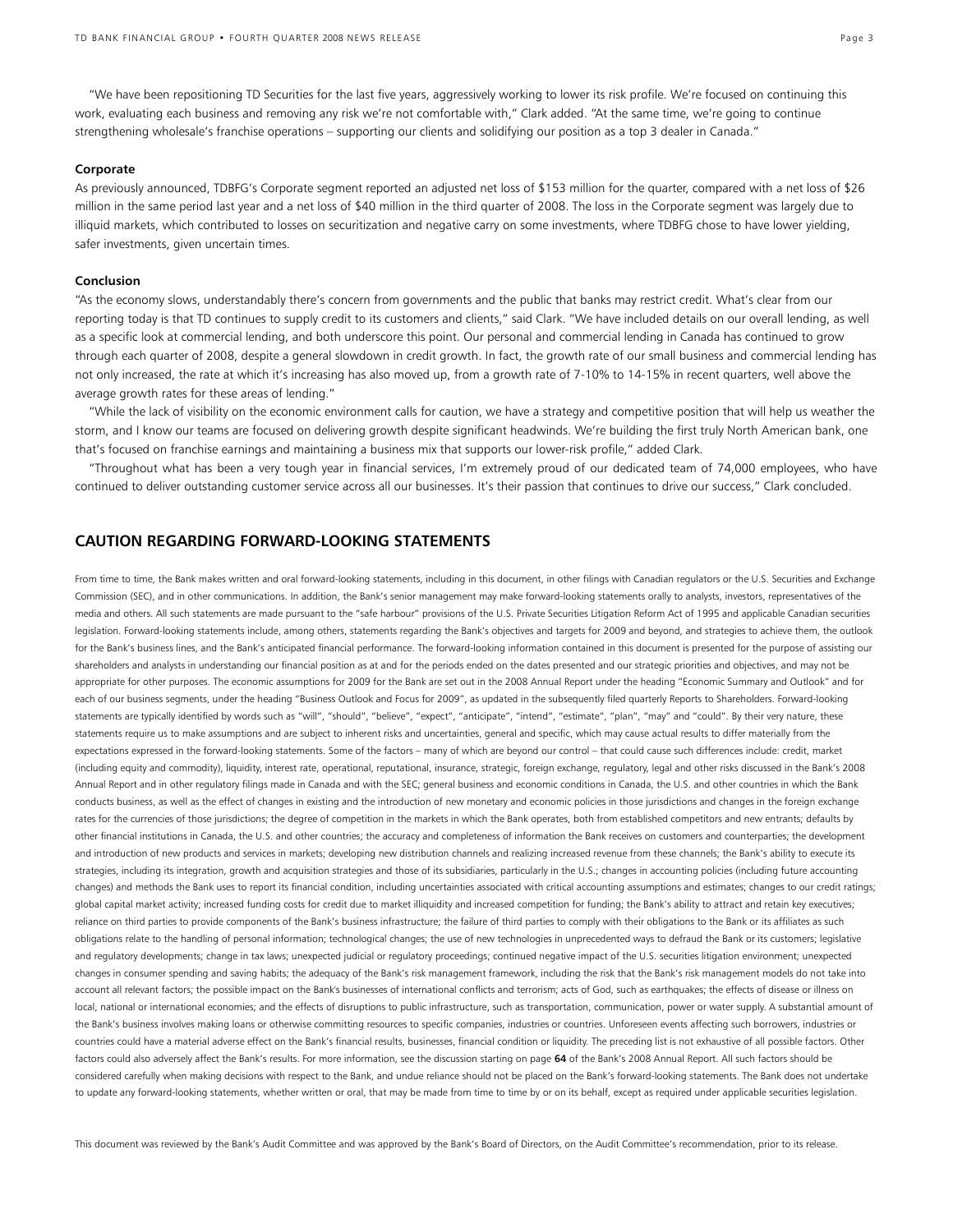"We have been repositioning TD Securities for the last five years, aggressively working to lower its risk profile. We're focused on continuing this work, evaluating each business and removing any risk we're not comfortable with," Clark added. "At the same time, we're going to continue strengthening wholesale's franchise operations – supporting our clients and solidifying our position as a top 3 dealer in Canada."

#### **Corporate**

As previously announced, TDBFG's Corporate segment reported an adjusted net loss of \$153 million for the quarter, compared with a net loss of \$26 million in the same period last year and a net loss of \$40 million in the third quarter of 2008. The loss in the Corporate segment was largely due to illiquid markets, which contributed to losses on securitization and negative carry on some investments, where TDBFG chose to have lower yielding, safer investments, given uncertain times.

#### **Conclusion**

"As the economy slows, understandably there's concern from governments and the public that banks may restrict credit. What's clear from our reporting today is that TD continues to supply credit to its customers and clients," said Clark. "We have included details on our overall lending, as well as a specific look at commercial lending, and both underscore this point. Our personal and commercial lending in Canada has continued to grow through each quarter of 2008, despite a general slowdown in credit growth. In fact, the growth rate of our small business and commercial lending has not only increased, the rate at which it's increasing has also moved up, from a growth rate of 7-10% to 14-15% in recent quarters, well above the average growth rates for these areas of lending."

"While the lack of visibility on the economic environment calls for caution, we have a strategy and competitive position that will help us weather the storm, and I know our teams are focused on delivering growth despite significant headwinds. We're building the first truly North American bank, one that's focused on franchise earnings and maintaining a business mix that supports our lower-risk profile," added Clark.

"Throughout what has been a very tough year in financial services, I'm extremely proud of our dedicated team of 74,000 employees, who have continued to deliver outstanding customer service across all our businesses. It's their passion that continues to drive our success," Clark concluded.

## **CAUTION REGARDING FORWARD-LOOKING STATEMENTS**

From time to time, the Bank makes written and oral forward-looking statements, including in this document, in other filings with Canadian regulators or the U.S. Securities and Exchange Commission (SEC), and in other communications. In addition, the Bank's senior management may make forward-looking statements orally to analysts, investors, representatives of the media and others. All such statements are made pursuant to the "safe harbour" provisions of the U.S. Private Securities Litigation Reform Act of 1995 and applicable Canadian securities legislation. Forward-looking statements include, among others, statements regarding the Bank's objectives and targets for 2009 and beyond, and strategies to achieve them, the outlook for the Bank's business lines, and the Bank's anticipated financial performance. The forward-looking information contained in this document is presented for the purpose of assisting our shareholders and analysts in understanding our financial position as at and for the periods ended on the dates presented and our strategic priorities and objectives, and may not be appropriate for other purposes. The economic assumptions for 2009 for the Bank are set out in the 2008 Annual Report under the heading "Economic Summary and Outlook" and for each of our business segments, under the heading "Business Outlook and Focus for 2009", as updated in the subsequently filed quarterly Reports to Shareholders. Forward-looking statements are typically identified by words such as "will", "should", "believe", "expect", "anticipate", "intend", "estimate", "plan", "may" and "could". By their very nature, these statements require us to make assumptions and are subject to inherent risks and uncertainties, general and specific, which may cause actual results to differ materially from the expectations expressed in the forward-looking statements. Some of the factors – many of which are beyond our control – that could cause such differences include: credit, market (including equity and commodity), liquidity, interest rate, operational, reputational, insurance, strategic, foreign exchange, regulatory, legal and other risks discussed in the Bank's 2008 Annual Report and in other regulatory filings made in Canada and with the SEC; general business and economic conditions in Canada, the U.S. and other countries in which the Bank conducts business, as well as the effect of changes in existing and the introduction of new monetary and economic policies in those jurisdictions and changes in the foreign exchange rates for the currencies of those jurisdictions; the degree of competition in the markets in which the Bank operates, both from established competitors and new entrants; defaults by other financial institutions in Canada, the U.S. and other countries; the accuracy and completeness of information the Bank receives on customers and counterparties; the development and introduction of new products and services in markets; developing new distribution channels and realizing increased revenue from these channels; the Bank's ability to execute its strategies, including its integration, growth and acquisition strategies and those of its subsidiaries, particularly in the U.S.; changes in accounting policies (including future accounting changes) and methods the Bank uses to report its financial condition, including uncertainties associated with critical accounting assumptions and estimates; changes to our credit ratings; global capital market activity; increased funding costs for credit due to market illiquidity and increased competition for funding; the Bank's ability to attract and retain key executives; reliance on third parties to provide components of the Bank's business infrastructure; the failure of third parties to comply with their obligations to the Bank or its affiliates as such obligations relate to the handling of personal information; technological changes; the use of new technologies in unprecedented ways to defraud the Bank or its customers; legislative and regulatory developments; change in tax laws; unexpected judicial or regulatory proceedings; continued negative impact of the U.S. securities litigation environment; unexpected changes in consumer spending and saving habits; the adequacy of the Bank's risk management framework, including the risk that the Bank's risk management models do not take into account all relevant factors; the possible impact on the Bank's businesses of international conflicts and terrorism; acts of God, such as earthquakes; the effects of disease or illness on local, national or international economies; and the effects of disruptions to public infrastructure, such as transportation, communication, power or water supply. A substantial amount of the Bank's business involves making loans or otherwise committing resources to specific companies, industries or countries. Unforeseen events affecting such borrowers, industries or countries could have a material adverse effect on the Bank's financial results, businesses, financial condition or liquidity. The preceding list is not exhaustive of all possible factors. Other factors could also adversely affect the Bank's results. For more information, see the discussion starting on page **64** of the Bank's 2008 Annual Report. All such factors should be considered carefully when making decisions with respect to the Bank, and undue reliance should not be placed on the Bank's forward-looking statements. The Bank does not undertake to update any forward-looking statements, whether written or oral, that may be made from time to time by or on its behalf, except as required under applicable securities legislation.

This document was reviewed by the Bank's Audit Committee and was approved by the Bank's Board of Directors, on the Audit Committee's recommendation, prior to its release.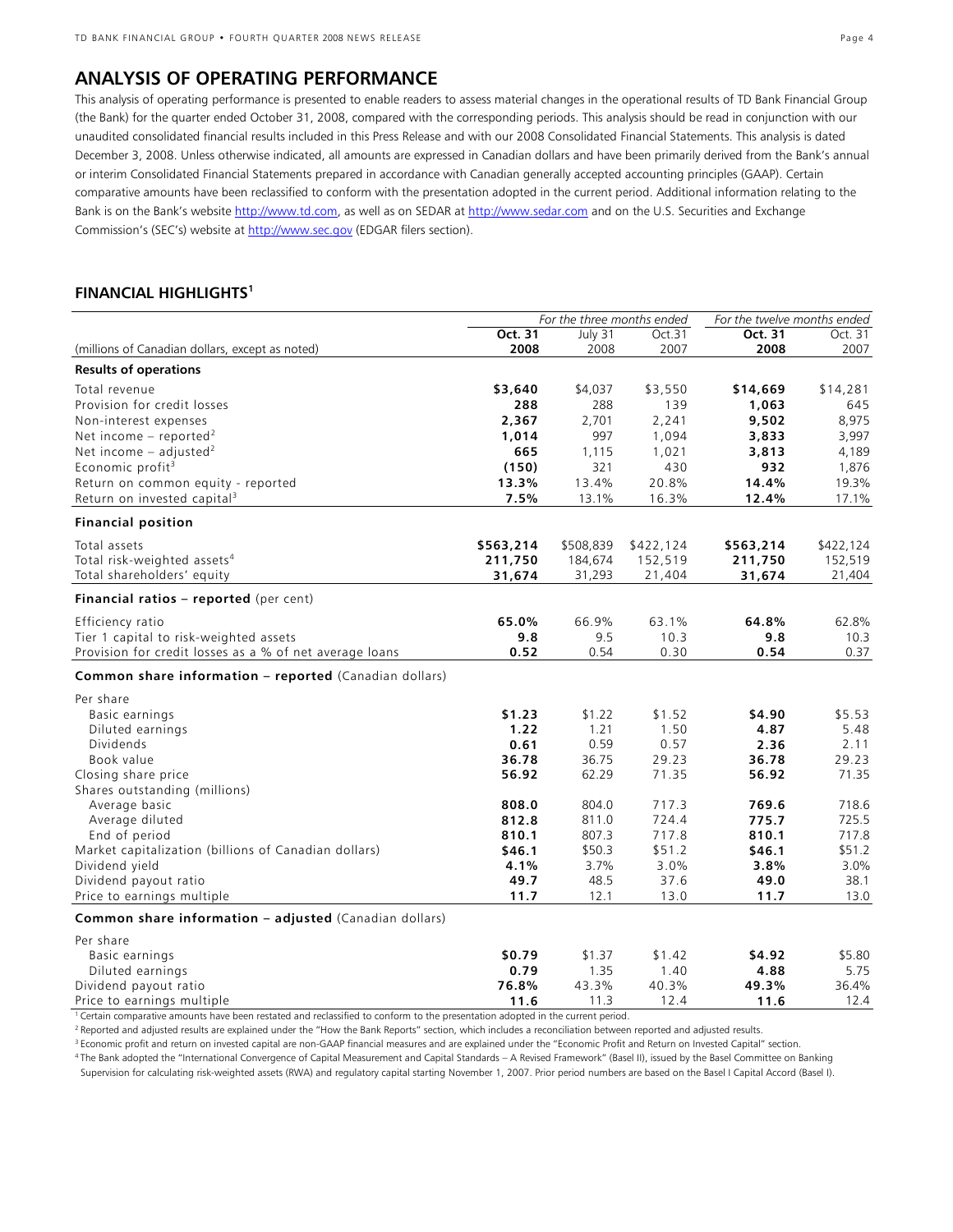# **ANALYSIS OF OPERATING PERFORMANCE**

This analysis of operating performance is presented to enable readers to assess material changes in the operational results of TD Bank Financial Group (the Bank) for the quarter ended October 31, 2008, compared with the corresponding periods. This analysis should be read in conjunction with our unaudited consolidated financial results included in this Press Release and with our 2008 Consolidated Financial Statements. This analysis is dated December 3, 2008. Unless otherwise indicated, all amounts are expressed in Canadian dollars and have been primarily derived from the Bank's annual or interim Consolidated Financial Statements prepared in accordance with Canadian generally accepted accounting principles (GAAP). Certain comparative amounts have been reclassified to conform with the presentation adopted in the current period. Additional information relating to the Bank is on the Bank's website http://www.td.com, as well as on SEDAR at http://www.sedar.com and on the U.S. Securities and Exchange Commission's (SEC's) website at http://www.sec.gov (EDGAR filers section).

# **FINANCIAL HIGHLIGHTS1**

|                                                               | For the three months ended |           |           |           |           | For the twelve months ended |  |
|---------------------------------------------------------------|----------------------------|-----------|-----------|-----------|-----------|-----------------------------|--|
|                                                               | Oct. 31                    | July 31   | Oct.31    | Oct. 31   | Oct. 31   |                             |  |
| (millions of Canadian dollars, except as noted)               | 2008                       | 2008      | 2007      | 2008      | 2007      |                             |  |
| <b>Results of operations</b>                                  |                            |           |           |           |           |                             |  |
| Total revenue                                                 | \$3,640                    | \$4,037   | \$3,550   | \$14,669  | \$14,281  |                             |  |
| Provision for credit losses                                   | 288                        | 288       | 139       | 1,063     | 645       |                             |  |
| Non-interest expenses                                         | 2,367                      | 2,701     | 2,241     | 9,502     | 8,975     |                             |  |
| Net income – reported <sup>2</sup>                            | 1,014                      | 997       | 1,094     | 3,833     | 3,997     |                             |  |
| Net income $-$ adjusted <sup>2</sup>                          | 665                        | 1,115     | 1,021     | 3,813     | 4,189     |                             |  |
| Economic profit <sup>3</sup>                                  | (150)                      | 321       | 430       | 932       | 1,876     |                             |  |
| Return on common equity - reported                            | 13.3%                      | 13.4%     | 20.8%     | 14.4%     | 19.3%     |                             |  |
| Return on invested capital <sup>3</sup>                       | 7.5%                       | 13.1%     | 16.3%     | 12.4%     | 17.1%     |                             |  |
| <b>Financial position</b>                                     |                            |           |           |           |           |                             |  |
| Total assets                                                  | \$563,214                  | \$508,839 | \$422,124 | \$563,214 | \$422,124 |                             |  |
| Total risk-weighted assets <sup>4</sup>                       | 211,750                    | 184,674   | 152,519   | 211,750   | 152,519   |                             |  |
| Total shareholders' equity                                    | 31,674                     | 31,293    | 21,404    | 31,674    | 21,404    |                             |  |
| Financial ratios - reported (per cent)                        |                            |           |           |           |           |                             |  |
| Efficiency ratio                                              | 65.0%                      | 66.9%     | 63.1%     | 64.8%     | 62.8%     |                             |  |
| Tier 1 capital to risk-weighted assets                        | 9.8                        | 9.5       | 10.3      | 9.8       | 10.3      |                             |  |
| Provision for credit losses as a % of net average loans       | 0.52                       | 0.54      | 0.30      | 0.54      | 0.37      |                             |  |
| <b>Common share information - reported (Canadian dollars)</b> |                            |           |           |           |           |                             |  |
| Per share                                                     |                            |           |           |           |           |                             |  |
| Basic earnings                                                | \$1.23                     | \$1.22    | \$1.52    | \$4.90    | \$5.53    |                             |  |
| Diluted earnings                                              | 1.22                       | 1.21      | 1.50      | 4.87      | 5.48      |                             |  |
| <b>Dividends</b>                                              | 0.61                       | 0.59      | 0.57      | 2.36      | 2.11      |                             |  |
| Book value                                                    | 36.78                      | 36.75     | 29.23     | 36.78     | 29.23     |                             |  |
| Closing share price                                           | 56.92                      | 62.29     | 71.35     | 56.92     | 71.35     |                             |  |
| Shares outstanding (millions)                                 |                            |           |           |           |           |                             |  |
| Average basic                                                 | 808.0                      | 804.0     | 717.3     | 769.6     | 718.6     |                             |  |
| Average diluted                                               | 812.8                      | 811.0     | 724.4     | 775.7     | 725.5     |                             |  |
| End of period                                                 | 810.1                      | 807.3     | 717.8     | 810.1     | 717.8     |                             |  |
| Market capitalization (billions of Canadian dollars)          | \$46.1                     | \$50.3    | \$51.2    | \$46.1    | \$51.2    |                             |  |
| Dividend yield                                                | 4.1%                       | 3.7%      | 3.0%      | 3.8%      | 3.0%      |                             |  |
| Dividend payout ratio                                         | 49.7                       | 48.5      | 37.6      | 49.0      | 38.1      |                             |  |
| Price to earnings multiple                                    | 11.7                       | 12.1      | 13.0      | 11.7      | 13.0      |                             |  |
| Common share information - adjusted (Canadian dollars)        |                            |           |           |           |           |                             |  |
| Per share                                                     |                            |           |           |           |           |                             |  |
| Basic earnings                                                | \$0.79                     | \$1.37    | \$1.42    | \$4.92    | \$5.80    |                             |  |
| Diluted earnings                                              | 0.79                       | 1.35      | 1.40      | 4.88      | 5.75      |                             |  |
| Dividend payout ratio                                         | 76.8%                      | 43.3%     | 40.3%     | 49.3%     | 36.4%     |                             |  |
| Price to earnings multiple                                    | 11.6                       | 11.3      | 12.4      | 11.6      | 12.4      |                             |  |

1 Certain comparative amounts have been restated and reclassified to conform to the presentation adopted in the current period.

<sup>2</sup> Reported and adjusted results are explained under the "How the Bank Reports" section, which includes a reconciliation between reported and adjusted results.<br><sup>3</sup> Economic profit and return on invested capital are non-GA

Supervision for calculating risk-weighted assets (RWA) and regulatory capital starting November 1, 2007. Prior period numbers are based on the Basel I Capital Accord (Basel I).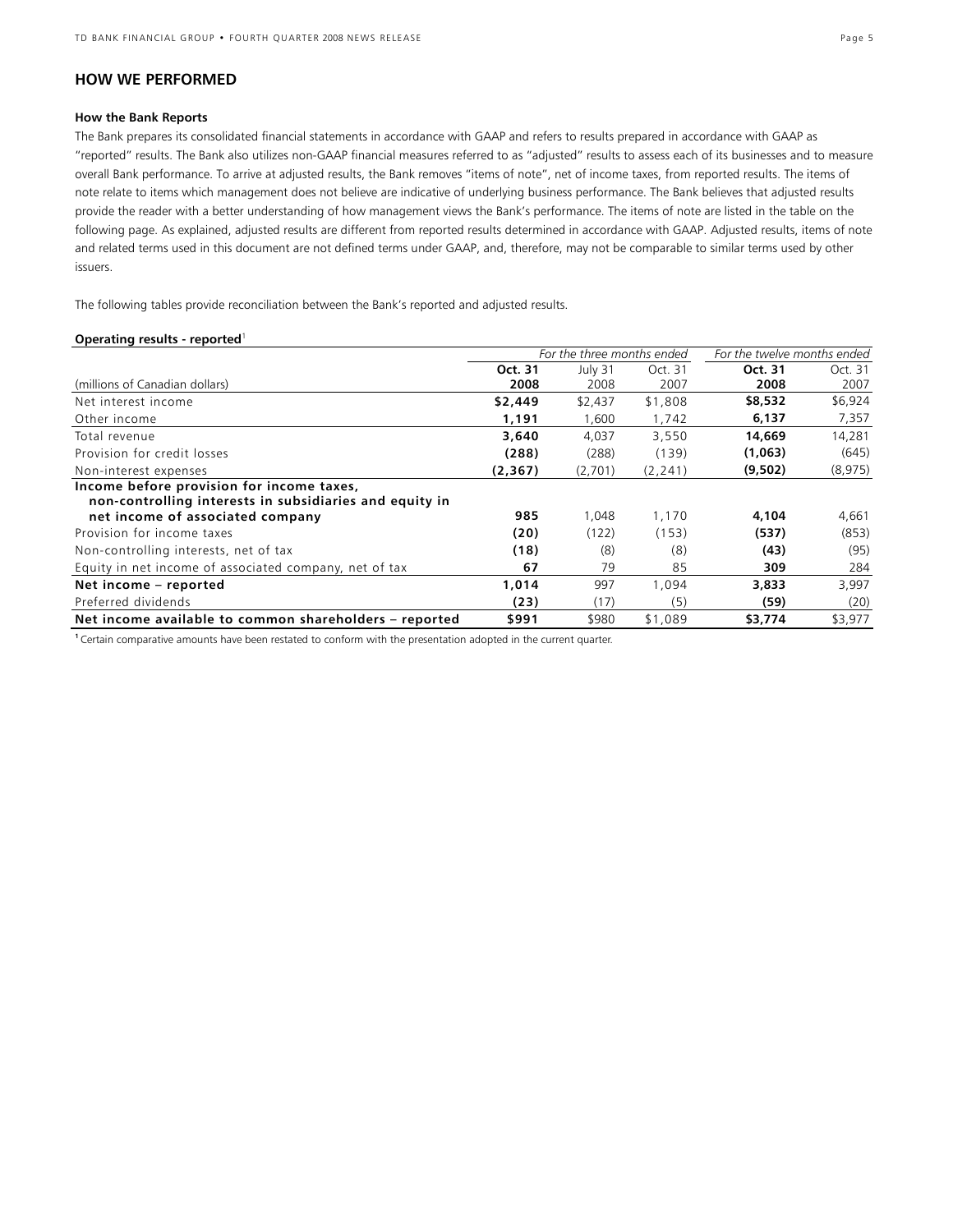# **HOW WE PERFORMED**

#### **How the Bank Reports**

The Bank prepares its consolidated financial statements in accordance with GAAP and refers to results prepared in accordance with GAAP as "reported" results. The Bank also utilizes non-GAAP financial measures referred to as "adjusted" results to assess each of its businesses and to measure overall Bank performance. To arrive at adjusted results, the Bank removes "items of note", net of income taxes, from reported results. The items of note relate to items which management does not believe are indicative of underlying business performance. The Bank believes that adjusted results provide the reader with a better understanding of how management views the Bank's performance. The items of note are listed in the table on the following page. As explained, adjusted results are different from reported results determined in accordance with GAAP. Adjusted results, items of note and related terms used in this document are not defined terms under GAAP, and, therefore, may not be comparable to similar terms used by other issuers.

The following tables provide reconciliation between the Bank's reported and adjusted results.

#### **Operating results - reported**<sup>1</sup>

|                                                                                                      | For the three months ended |         |          | For the twelve months ended |          |
|------------------------------------------------------------------------------------------------------|----------------------------|---------|----------|-----------------------------|----------|
|                                                                                                      | Oct. 31                    | July 31 | Oct. 31  | Oct. 31                     | Oct. 31  |
| (millions of Canadian dollars)                                                                       | 2008                       | 2008    | 2007     | 2008                        | 2007     |
| Net interest income                                                                                  | \$2,449                    | \$2,437 | \$1,808  | \$8,532                     | \$6,924  |
| Other income                                                                                         | 1,191                      | 1,600   | 1,742    | 6,137                       | 7,357    |
| Total revenue                                                                                        | 3,640                      | 4,037   | 3,550    | 14,669                      | 14,281   |
| Provision for credit losses                                                                          | (288)                      | (288)   | (139)    | (1,063)                     | (645)    |
| Non-interest expenses                                                                                | (2, 367)                   | (2,701) | (2, 241) | (9,502)                     | (8, 975) |
| Income before provision for income taxes,<br>non-controlling interests in subsidiaries and equity in |                            |         |          |                             |          |
| net income of associated company                                                                     | 985                        | 1.048   | 1,170    | 4,104                       | 4,661    |
| Provision for income taxes                                                                           | (20)                       | (122)   | (153)    | (537)                       | (853)    |
| Non-controlling interests, net of tax                                                                | (18)                       | (8)     | (8)      | (43)                        | (95)     |
| Equity in net income of associated company, net of tax                                               | 67                         | 79      | 85       | 309                         | 284      |
| Net income – reported                                                                                | 1.014                      | 997     | 1.094    | 3,833                       | 3,997    |
| Preferred dividends                                                                                  | (23)                       | (17)    | (5)      | (59)                        | (20)     |
| Net income available to common shareholders - reported                                               | \$991                      | \$980   | \$1,089  | \$3,774                     | \$3,977  |

**1** Certain comparative amounts have been restated to conform with the presentation adopted in the current quarter.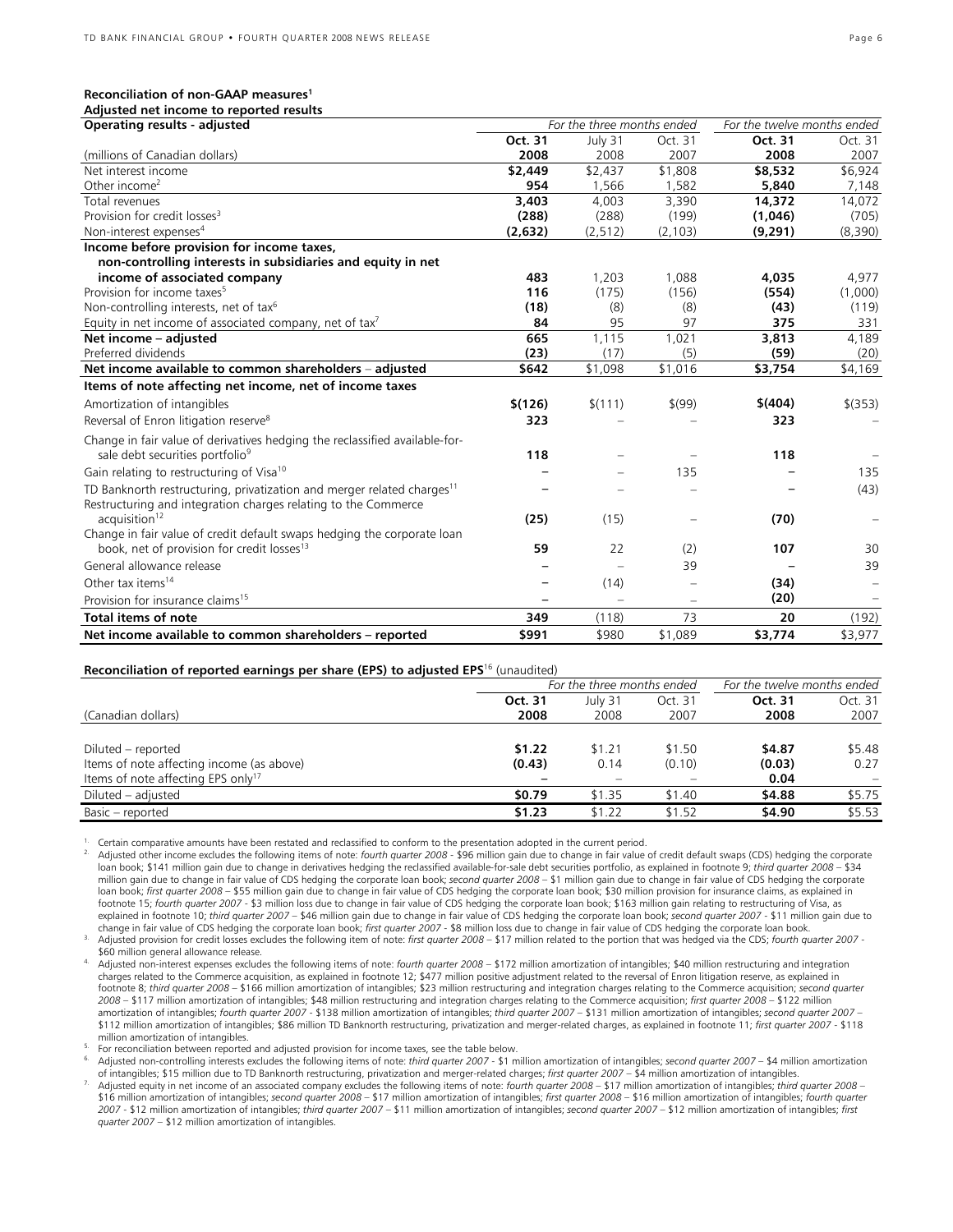#### **Reconciliation of non-GAAP measures1**

| Adjusted net income to reported results                                                                                                              |         |                            |          |                             |                          |
|------------------------------------------------------------------------------------------------------------------------------------------------------|---------|----------------------------|----------|-----------------------------|--------------------------|
| <b>Operating results - adjusted</b>                                                                                                                  |         | For the three months ended |          | For the twelve months ended |                          |
|                                                                                                                                                      | Oct. 31 | July 31                    | Oct. 31  | Oct. 31                     | Oct. 31                  |
| (millions of Canadian dollars)                                                                                                                       | 2008    | 2008                       | 2007     | 2008                        | 2007                     |
| Net interest income                                                                                                                                  | \$2,449 | \$2,437                    | \$1,808  | \$8,532                     | \$6,924                  |
| Other income <sup>2</sup>                                                                                                                            | 954     | 1.566                      | 1.582    | 5,840                       | 7,148                    |
| Total revenues                                                                                                                                       | 3,403   | 4,003                      | 3,390    | 14,372                      | 14,072                   |
| Provision for credit losses <sup>3</sup>                                                                                                             | (288)   | (288)                      | (199)    | (1,046)                     | (705)                    |
| Non-interest expenses <sup>4</sup>                                                                                                                   | (2,632) | (2, 512)                   | (2, 103) | (9, 291)                    | (8,390)                  |
| Income before provision for income taxes,                                                                                                            |         |                            |          |                             |                          |
| non-controlling interests in subsidiaries and equity in net                                                                                          |         |                            |          |                             |                          |
| income of associated company                                                                                                                         | 483     | 1,203                      | 1,088    | 4,035                       | 4,977                    |
| Provision for income taxes <sup>5</sup>                                                                                                              | 116     | (175)                      | (156)    | (554)                       | (1,000)                  |
| Non-controlling interests, net of tax <sup>6</sup>                                                                                                   | (18)    | (8)                        | (8)      | (43)                        | (119)                    |
| Equity in net income of associated company, net of tax <sup>7</sup>                                                                                  | 84      | 95                         | 97       | 375                         | 331                      |
| Net income - adjusted                                                                                                                                | 665     | 1,115                      | 1,021    | 3,813                       | 4,189                    |
| Preferred dividends                                                                                                                                  | (23)    | (17)                       | (5)      | (59)                        | (20)                     |
| Net income available to common shareholders - adjusted                                                                                               | \$642   | \$1,098                    | \$1,016  | \$3,754                     | \$4,169                  |
| Items of note affecting net income, net of income taxes                                                                                              |         |                            |          |                             |                          |
| Amortization of intangibles                                                                                                                          | \$(126) | \$(111)                    | \$(99)   | \$(404)                     | $$$ (353)                |
| Reversal of Enron litigation reserve <sup>8</sup>                                                                                                    | 323     |                            |          | 323                         | $\overline{\phantom{0}}$ |
| Change in fair value of derivatives hedging the reclassified available-for-                                                                          |         |                            |          |                             |                          |
| sale debt securities portfolio <sup>9</sup>                                                                                                          | 118     |                            |          | 118                         |                          |
| Gain relating to restructuring of Visa <sup>10</sup>                                                                                                 |         |                            | 135      |                             | 135                      |
| TD Banknorth restructuring, privatization and merger related charges <sup>11</sup><br>Restructuring and integration charges relating to the Commerce |         |                            |          |                             | (43)                     |
| acquisition <sup>12</sup>                                                                                                                            | (25)    | (15)                       |          | (70)                        |                          |
| Change in fair value of credit default swaps hedging the corporate loan                                                                              |         |                            |          |                             |                          |
| book, net of provision for credit losses <sup>13</sup>                                                                                               | 59      | 22                         | (2)      | 107                         | 30                       |
| General allowance release                                                                                                                            |         |                            | 39       |                             | 39                       |
| Other tax items <sup>14</sup>                                                                                                                        |         | (14)                       |          | (34)                        | -                        |
| Provision for insurance claims <sup>15</sup>                                                                                                         |         |                            | $\equiv$ | (20)                        |                          |
| <b>Total items of note</b>                                                                                                                           | 349     | (118)                      | 73       | 20                          | (192)                    |
| Net income available to common shareholders - reported                                                                                               | \$991   | \$980                      | \$1,089  | \$3,774                     | \$3,977                  |

#### **Reconciliation of reported earnings per share (EPS) to adjusted EPS**<sup>16</sup> (unaudited)

|                                                | For the three months ended |         |         | For the twelve months ended |         |
|------------------------------------------------|----------------------------|---------|---------|-----------------------------|---------|
|                                                | Oct. 31                    | July 31 | Oct. 31 | Oct. 31                     | Oct. 31 |
| (Canadian dollars)                             | 2008                       | 2008    | 2007    | 2008                        | 2007    |
|                                                |                            |         |         |                             |         |
| Diluted – reported                             | \$1.22                     | \$1.21  | \$1.50  | \$4.87                      | \$5.48  |
| Items of note affecting income (as above)      | (0.43)                     | 0.14    | (0.10)  | (0.03)                      | 0.27    |
| Items of note affecting EPS only <sup>17</sup> |                            |         |         | 0.04                        |         |
| Diluted – adjusted                             | \$0.79                     | \$1.35  | \$1.40  | \$4.88                      | \$5.75  |
| Basic - reported                               | \$1.23                     | \$1.22  | \$1.52  | \$4.90                      | \$5.53  |

<sup>1.</sup> Certain comparative amounts have been restated and reclassified to conform to the presentation adopted in the current period.<br><sup>2.</sup> Adjusted other income excludes the following items of note: *fourth quarter 2008 -* \$9 loan book; \$141 million gain due to change in derivatives hedging the reclassified available-for-sale debt securities portfolio, as explained in footnote 9; *third quarter 2008* – \$34 million gain due to change in fair value of CDS hedging the corporate loan book; *second quarter 2008* – \$1 million gain due to change in fair value of CDS hedging the corporate loan book; *first quarter 2008* – \$55 million gain due to change in fair value of CDS hedging the corporate loan book; \$30 million provision for insurance claims, as explained in footnote 15; *fourth quarter 2007* - \$3 million loss due to change in fair value of CDS hedging the corporate loan book; \$163 million gain relating to restructuring of Visa, as explained in footnote 10; *third quarter 2007* – \$46 million gain due to change in fair value of CDS hedging the corporate loan book; *second quarter 2007* - \$11 million gain due to<br>change in fair value of CDS hedging the

3. Adjusted provision for credit losses excludes the following item of note: first quarter 2008 - \$17 million related to the portion that was hedged via the CDS; fourth quarter 2007 -<br>\$60 million general allowance release.

Adjusted non-interest expenses excludes the following items of note: fourth quarter 2008 - \$172 million amortization of intangibles; \$40 million restructuring and integration charges related to the Commerce acquisition, as explained in footnote 12; \$477 million positive adjustment related to the reversal of Enron litigation reserve, as explained in footnote 8; *third quarter 2008* – \$166 million amortization of intangibles; \$23 million restructuring and integration charges relating to the Commerce acquisition; *second quarter 2008* – \$117 million amortization of intangibles; \$48 million restructuring and integration charges relating to the Commerce acquisition; *first quarter 2008* – \$122 million amortization of intangibles; *fourth quarter 2007* - \$138 million amortization of intangibles; *third quarter 2007* – \$131 million amortization of intangibles; *second quarter 2007* – \$112 million amortization of intangibles; \$86 million TD Banknorth restructuring, privatization and merger-related charges, as explained in footnote 11; *first quarter 2007* - \$118

million amortization of intangibles.<br>For reconciliation between reported and adjusted provision for income taxes, see the table below.<br>Adjusted non-controlling interests excludes the following items of note: *third quarter* 

of intangibles; \$15 million due to TD Banknorth restructuring, privatization and merger-related charges; *first quarter 2007* – \$4 million amortization of intangibles.<br>7. Adjusted equity in net income of an associated comp *2007* - \$12 million amortization of intangibles; *third quarter 2007* – \$11 million amortization of intangibles; *second quarter 2007* – \$12 million amortization of intangibles; *first quarter 2007* – \$12 million amortization of intangibles.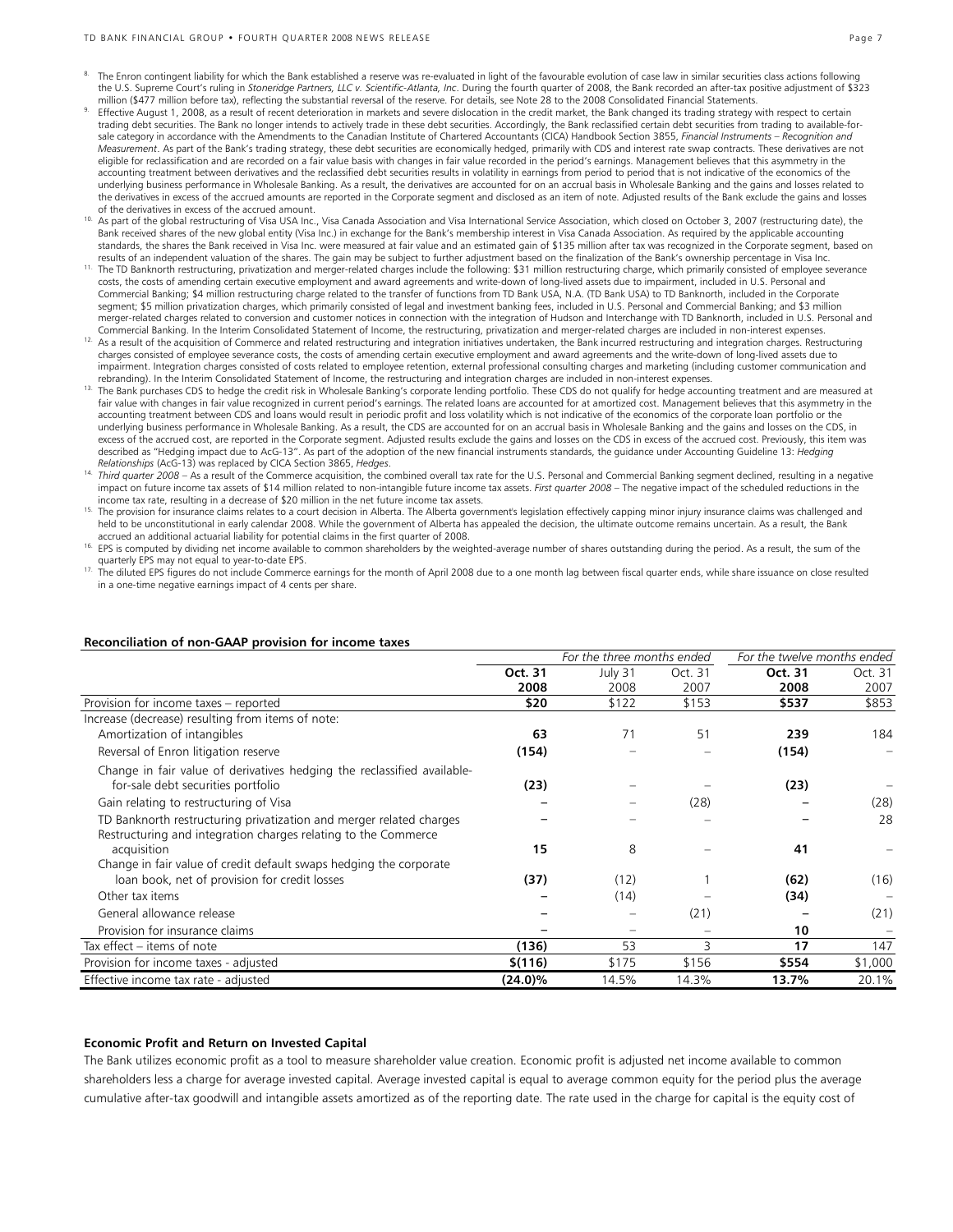#### TD BANK FINANCIAL GROUP • FOURTH QUARTER 2008 NEWS RELEASE Page 7

- 8. The Enron contingent liability for which the Bank established a reserve was re-evaluated in light of the favourable evolution of case law in similar securities class actions following the U.S. Supreme Court's ruling in *Stoneridge Partners, LLC v. Scientific-Atlanta, Inc*. During the fourth quarter of 2008, the Bank recorded an after-tax positive adjustment of \$323
- million (\$477 million before tax), reflecting the substantial reversal of the reserve. For details, see Note 28 to the 2008 Consolidated Financial Statements.<br>Effective August 1, 2008, as a result of recent deterioration i trading debt securities. The Bank no longer intends to actively trade in these debt securities. Accordingly, the Bank reclassified certain debt securities from trading to available-for-<br>sale category in accordance with the *Measurement*. As part of the Bank's trading strategy, these debt securities are economically hedged, primarily with CDS and interest rate swap contracts. These derivatives are not eligible for reclassification and are recorded on a fair value basis with changes in fair value recorded in the period's earnings. Management believes that this asymmetry in the accounting treatment between derivatives and the reclassified debt securities results in volatility in earnings from period to period that is not indicative of the economics of the underlying business performance in Wholesale Banking. As a result, the derivatives are accounted for on an accrual basis in Wholesale Banking and the gains and losses related to the derivatives in excess of the accrued amounts are reported in the Corporate segment and disclosed as an item of note. Adjusted results of the Bank exclude the gains and losses
- of the derivatives in excess of the accrued amount.<br><sup>10</sup> As part of the global restructuring of Visa USA Inc., Visa Canada Association and Visa International Service Association, which closed on October 3, 2007 (restructur Bank received shares of the new global entity (Visa Inc.) in exchange for the Bank's membership interest in Visa Canada Association. As required by the applicable accounting standards, the shares the Bank received in Visa Inc. were measured at fair value and an estimated gain of \$135 million after tax was recognized in the Corporate segment, based on<br>results of an independent valuation of the
- <sup>11.</sup> The TD Banknorth restructuring, privatization and merger-related charges include the following: \$31 million restructuring charge, which primarily consisted of employee severance costs, the costs of amending certain executive employment and award agreements and write-down of long-lived assets due to impairment, included in U.S. Personal and Commercial Banking; \$4 million restructuring charge related to the transfer of functions from TD Bank USA, N.A. (TD Bank USA) to TD Banknorth, included in the Corporate segment; \$5 million privatization charges, which primarily consisted of legal and investment banking fees, included in U.S. Personal and Commercial Banking; and \$3 million merger-related charges related to conversion and customer notices in connection with the integration of Hudson and Interchange with TD Banknorth, included in U.S. Personal and Commercial Banking. In the Interim Consolidated Statement of Income, the restructuring, privatization and merger-related charges are included in non-interest expenses.
- <sup>12.</sup> As a result of the acquisition of Commerce and related restructuring and integration initiatives undertaken, the Bank incurred restructuring and integration charges. Restructuring charges consisted of employee severance costs, the costs of amending certain executive employment and award agreements and the write-down of long-lived assets due to impairment. Integration charges consisted of costs related to employee retention, external professional consulting charges and marketing (including customer communication and
- rebranding). In the Interim Consolidated Statement of Income, the restructuring and integration charges are included in non-interest expenses.<br><sup>13.</sup> The Bank purchases CDS to hedge the credit risk in Wholesale Banking's co fair value with changes in fair value recognized in current period's earnings. The related loans are accounted for at amortized cost. Management believes that this asymmetry in the accounting treatment between CDS and loans would result in periodic profit and loss volatility which is not indicative of the economics of the corporate loan portfolio or the underlying business performance in Wholesale Banking. As a result, the CDS are accounted for on an accrual basis in Wholesale Banking and the gains and losses on the CDS, in excess of the accrued cost, are reported in the Corporate segment. Adjusted results exclude the gains and losses on the CDS in excess of the accrued cost. Previously, this item was described as "Hedging impact due to AcG-13". As part of the adoption of the new financial instruments standards, the guidance under Accounting Guideline 13: *Hedging Relationships* (AcG-13) was replaced by CICA Section 3865, *Hedges*.
- <sup>14</sup> Third quarter 2008 As a result of the Commerce acquisition, the combined overall tax rate for the U.S. Personal and Commercial Banking segment declined, resulting in a negative impact on future income tax assets of \$14 million related to non-intangible future income tax assets. *First quarter 2008* – The negative impact of the scheduled reductions in the
- income tax rate, resulting in a decrease of \$20 million in the net future income tax assets.<br><sup>15.</sup> The provision for insurance claims relates to a court decision in Alberta. The Alberta government's legislation effectively held to be unconstitutional in early calendar 2008. While the government of Alberta has appealed the decision, the ultimate outcome remains uncertain. As a result, the Bank<br>accrued an additional actuarial liability for pot
- 16. EPS is computed by dividing net income available to common shareholders by the weighted-average number of shares outstanding during the period. As a result, the sum of the
- quarterly EPS may not equal to year-to-date EPS.<br><sup>17.</sup> The diluted EPS figures do not include Commerce earnings for the month of April 2008 due to a one month lag between fiscal quarter ends, while share issuance on close in a one-time negative earnings impact of 4 cents per share.

#### **Reconciliation of non-GAAP provision for income taxes**

|                                                                         | For the three months ended |                   |         | For the twelve months ended |         |  |
|-------------------------------------------------------------------------|----------------------------|-------------------|---------|-----------------------------|---------|--|
|                                                                         | Oct. 31                    | July 31           | Oct. 31 | Oct. 31                     | Oct. 31 |  |
|                                                                         | 2008                       | 2008              | 2007    | 2008                        | 2007    |  |
| Provision for income taxes - reported                                   | \$20                       | \$122             | \$153   | \$537                       | \$853   |  |
| Increase (decrease) resulting from items of note:                       |                            |                   |         |                             |         |  |
| Amortization of intangibles                                             | 63                         | 71                | 51      | 239                         | 184     |  |
| Reversal of Enron litigation reserve                                    | (154)                      |                   |         | (154)                       |         |  |
| Change in fair value of derivatives hedging the reclassified available- |                            |                   |         |                             |         |  |
| for-sale debt securities portfolio                                      | (23)                       |                   |         | (23)                        |         |  |
| Gain relating to restructuring of Visa                                  |                            |                   | (28)    |                             | (28)    |  |
| TD Banknorth restructuring privatization and merger related charges     |                            |                   |         |                             | 28      |  |
| Restructuring and integration charges relating to the Commerce          |                            |                   |         |                             |         |  |
| acquisition                                                             | 15                         | 8                 |         | 41                          |         |  |
| Change in fair value of credit default swaps hedging the corporate      |                            |                   |         |                             |         |  |
| loan book, net of provision for credit losses                           | (37)                       | (12)              |         | (62)                        | (16)    |  |
| Other tax items                                                         |                            | (14)              |         | (34)                        |         |  |
| General allowance release                                               |                            |                   | (21)    |                             | (21)    |  |
| Provision for insurance claims                                          |                            | $\qquad \qquad =$ |         | 10                          |         |  |
| Tax effect - items of note                                              | (136)                      | 53                | 3       | 17                          | 147     |  |
| Provision for income taxes - adjusted                                   | \$(116)                    | \$175             | \$156   | \$554                       | \$1,000 |  |
| Effective income tax rate - adjusted                                    | (24.0)%                    | 14.5%             | 14.3%   | 13.7%                       | 20.1%   |  |

#### **Economic Profit and Return on Invested Capital**

The Bank utilizes economic profit as a tool to measure shareholder value creation. Economic profit is adjusted net income available to common shareholders less a charge for average invested capital. Average invested capital is equal to average common equity for the period plus the average cumulative after-tax goodwill and intangible assets amortized as of the reporting date. The rate used in the charge for capital is the equity cost of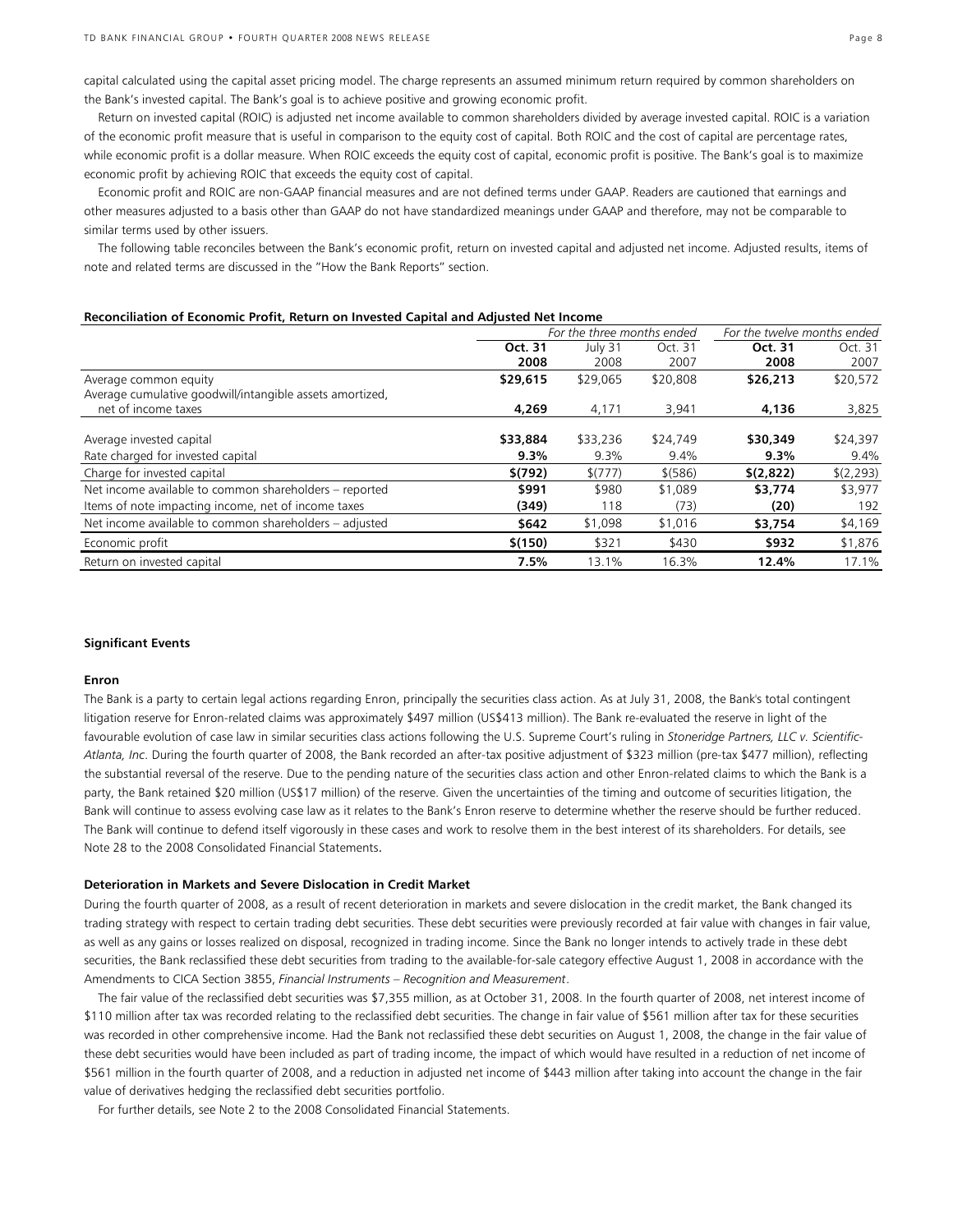capital calculated using the capital asset pricing model. The charge represents an assumed minimum return required by common shareholders on the Bank's invested capital. The Bank's goal is to achieve positive and growing economic profit.

Return on invested capital (ROIC) is adjusted net income available to common shareholders divided by average invested capital. ROIC is a variation of the economic profit measure that is useful in comparison to the equity cost of capital. Both ROIC and the cost of capital are percentage rates, while economic profit is a dollar measure. When ROIC exceeds the equity cost of capital, economic profit is positive. The Bank's goal is to maximize economic profit by achieving ROIC that exceeds the equity cost of capital.

Economic profit and ROIC are non-GAAP financial measures and are not defined terms under GAAP. Readers are cautioned that earnings and other measures adjusted to a basis other than GAAP do not have standardized meanings under GAAP and therefore, may not be comparable to similar terms used by other issuers.

The following table reconciles between the Bank's economic profit, return on invested capital and adjusted net income. Adjusted results, items of note and related terms are discussed in the "How the Bank Reports" section.

#### **Reconciliation of Economic Profit, Return on Invested Capital and Adjusted Net Income**

| For the three months ended |          |          | For the twelve months ended |            |         |
|----------------------------|----------|----------|-----------------------------|------------|---------|
| Oct. 31                    |          | July 31  | Oct. 31                     | Oct. 31    | Oct. 31 |
| 2008                       | 2008     | 2007     | 2008                        | 2007       |         |
| \$29,615                   | \$29,065 | \$20,808 | \$26,213                    | \$20,572   |         |
|                            |          |          |                             |            |         |
| 4,269                      | 4,171    | 3,941    | 4,136                       | 3,825      |         |
|                            |          |          |                             |            |         |
|                            | \$33,236 | \$24,749 |                             | \$24,397   |         |
| 9.3%                       | 9.3%     | 9.4%     | 9.3%                        | 9.4%       |         |
| \$(792)                    | \$(777)  | \$ (586) | \$(2,822)                   | \$(2, 293) |         |
| \$991                      | \$980    | \$1,089  | \$3,774                     | \$3,977    |         |
| (349)                      | 118      | (73)     | (20)                        | 192        |         |
| \$642                      | \$1,098  | \$1,016  | \$3,754                     | \$4,169    |         |
| \$(150)                    | \$321    | \$430    | \$932                       | \$1,876    |         |
| 7.5%                       | 13.1%    | 16.3%    | 12.4%                       | 17.1%      |         |
|                            | \$33,884 |          |                             | \$30,349   |         |

#### **Significant Events**

#### **Enron**

The Bank is a party to certain legal actions regarding Enron, principally the securities class action. As at July 31, 2008, the Bank's total contingent litigation reserve for Enron-related claims was approximately \$497 million (US\$413 million). The Bank re-evaluated the reserve in light of the favourable evolution of case law in similar securities class actions following the U.S. Supreme Court's ruling in *Stoneridge Partners, LLC v. Scientific-Atlanta, Inc*. During the fourth quarter of 2008, the Bank recorded an after-tax positive adjustment of \$323 million (pre-tax \$477 million), reflecting the substantial reversal of the reserve. Due to the pending nature of the securities class action and other Enron-related claims to which the Bank is a party, the Bank retained \$20 million (US\$17 million) of the reserve. Given the uncertainties of the timing and outcome of securities litigation, the Bank will continue to assess evolving case law as it relates to the Bank's Enron reserve to determine whether the reserve should be further reduced. The Bank will continue to defend itself vigorously in these cases and work to resolve them in the best interest of its shareholders. For details, see Note 28 to the 2008 Consolidated Financial Statements.

#### **Deterioration in Markets and Severe Dislocation in Credit Market**

During the fourth quarter of 2008, as a result of recent deterioration in markets and severe dislocation in the credit market, the Bank changed its trading strategy with respect to certain trading debt securities. These debt securities were previously recorded at fair value with changes in fair value, as well as any gains or losses realized on disposal, recognized in trading income. Since the Bank no longer intends to actively trade in these debt securities, the Bank reclassified these debt securities from trading to the available-for-sale category effective August 1, 2008 in accordance with the Amendments to CICA Section 3855, *Financial Instruments – Recognition and Measurement*.

The fair value of the reclassified debt securities was \$7,355 million, as at October 31, 2008. In the fourth quarter of 2008, net interest income of \$110 million after tax was recorded relating to the reclassified debt securities. The change in fair value of \$561 million after tax for these securities was recorded in other comprehensive income. Had the Bank not reclassified these debt securities on August 1, 2008, the change in the fair value of these debt securities would have been included as part of trading income, the impact of which would have resulted in a reduction of net income of \$561 million in the fourth quarter of 2008, and a reduction in adjusted net income of \$443 million after taking into account the change in the fair value of derivatives hedging the reclassified debt securities portfolio.

For further details, see Note 2 to the 2008 Consolidated Financial Statements.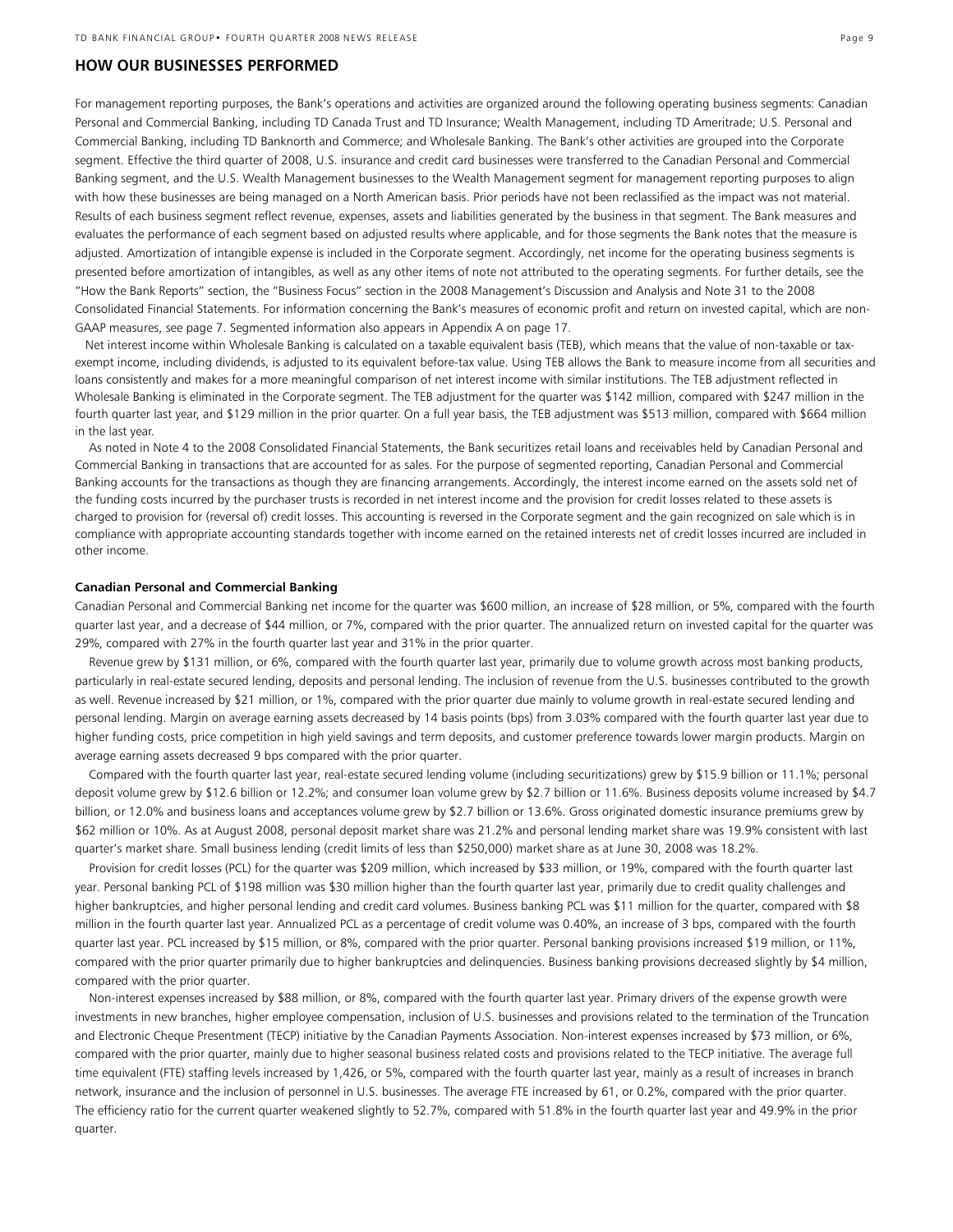#### **HOW OUR BUSINESSES PERFORMED**

For management reporting purposes, the Bank's operations and activities are organized around the following operating business segments: Canadian Personal and Commercial Banking, including TD Canada Trust and TD Insurance; Wealth Management, including TD Ameritrade; U.S. Personal and Commercial Banking, including TD Banknorth and Commerce; and Wholesale Banking. The Bank's other activities are grouped into the Corporate segment. Effective the third quarter of 2008, U.S. insurance and credit card businesses were transferred to the Canadian Personal and Commercial Banking segment, and the U.S. Wealth Management businesses to the Wealth Management segment for management reporting purposes to align with how these businesses are being managed on a North American basis. Prior periods have not been reclassified as the impact was not material. Results of each business segment reflect revenue, expenses, assets and liabilities generated by the business in that segment. The Bank measures and evaluates the performance of each segment based on adjusted results where applicable, and for those segments the Bank notes that the measure is adjusted. Amortization of intangible expense is included in the Corporate segment. Accordingly, net income for the operating business segments is presented before amortization of intangibles, as well as any other items of note not attributed to the operating segments. For further details, see the "How the Bank Reports" section, the "Business Focus" section in the 2008 Management's Discussion and Analysis and Note 31 to the 2008 Consolidated Financial Statements. For information concerning the Bank's measures of economic profit and return on invested capital, which are non-GAAP measures, see page 7. Segmented information also appears in Appendix A on page 17.

Net interest income within Wholesale Banking is calculated on a taxable equivalent basis (TEB), which means that the value of non-taxable or taxexempt income, including dividends, is adjusted to its equivalent before-tax value. Using TEB allows the Bank to measure income from all securities and loans consistently and makes for a more meaningful comparison of net interest income with similar institutions. The TEB adjustment reflected in Wholesale Banking is eliminated in the Corporate segment. The TEB adjustment for the quarter was \$142 million, compared with \$247 million in the fourth quarter last year, and \$129 million in the prior quarter. On a full year basis, the TEB adjustment was \$513 million, compared with \$664 million in the last year.

 As noted in Note 4 to the 2008 Consolidated Financial Statements, the Bank securitizes retail loans and receivables held by Canadian Personal and Commercial Banking in transactions that are accounted for as sales. For the purpose of segmented reporting, Canadian Personal and Commercial Banking accounts for the transactions as though they are financing arrangements. Accordingly, the interest income earned on the assets sold net of the funding costs incurred by the purchaser trusts is recorded in net interest income and the provision for credit losses related to these assets is charged to provision for (reversal of) credit losses. This accounting is reversed in the Corporate segment and the gain recognized on sale which is in compliance with appropriate accounting standards together with income earned on the retained interests net of credit losses incurred are included in other income.

#### **Canadian Personal and Commercial Banking**

Canadian Personal and Commercial Banking net income for the quarter was \$600 million, an increase of \$28 million, or 5%, compared with the fourth quarter last year, and a decrease of \$44 million, or 7%, compared with the prior quarter. The annualized return on invested capital for the quarter was 29%, compared with 27% in the fourth quarter last year and 31% in the prior quarter.

 Revenue grew by \$131 million, or 6%, compared with the fourth quarter last year, primarily due to volume growth across most banking products, particularly in real-estate secured lending, deposits and personal lending. The inclusion of revenue from the U.S. businesses contributed to the growth as well. Revenue increased by \$21 million, or 1%, compared with the prior quarter due mainly to volume growth in real-estate secured lending and personal lending. Margin on average earning assets decreased by 14 basis points (bps) from 3.03% compared with the fourth quarter last year due to higher funding costs, price competition in high yield savings and term deposits, and customer preference towards lower margin products. Margin on average earning assets decreased 9 bps compared with the prior quarter.

 Compared with the fourth quarter last year, real-estate secured lending volume (including securitizations) grew by \$15.9 billion or 11.1%; personal deposit volume grew by \$12.6 billion or 12.2%; and consumer loan volume grew by \$2.7 billion or 11.6%. Business deposits volume increased by \$4.7 billion, or 12.0% and business loans and acceptances volume grew by \$2.7 billion or 13.6%. Gross originated domestic insurance premiums grew by \$62 million or 10%. As at August 2008, personal deposit market share was 21.2% and personal lending market share was 19.9% consistent with last quarter's market share. Small business lending (credit limits of less than \$250,000) market share as at June 30, 2008 was 18.2%.

 Provision for credit losses (PCL) for the quarter was \$209 million, which increased by \$33 million, or 19%, compared with the fourth quarter last year. Personal banking PCL of \$198 million was \$30 million higher than the fourth quarter last year, primarily due to credit quality challenges and higher bankruptcies, and higher personal lending and credit card volumes. Business banking PCL was \$11 million for the quarter, compared with \$8 million in the fourth quarter last year. Annualized PCL as a percentage of credit volume was 0.40%, an increase of 3 bps, compared with the fourth quarter last year. PCL increased by \$15 million, or 8%, compared with the prior quarter. Personal banking provisions increased \$19 million, or 11%, compared with the prior quarter primarily due to higher bankruptcies and delinquencies. Business banking provisions decreased slightly by \$4 million, compared with the prior quarter.

 Non-interest expenses increased by \$88 million, or 8%, compared with the fourth quarter last year. Primary drivers of the expense growth were investments in new branches, higher employee compensation, inclusion of U.S. businesses and provisions related to the termination of the Truncation and Electronic Cheque Presentment (TECP) initiative by the Canadian Payments Association. Non-interest expenses increased by \$73 million, or 6%, compared with the prior quarter, mainly due to higher seasonal business related costs and provisions related to the TECP initiative. The average full time equivalent (FTE) staffing levels increased by 1,426, or 5%, compared with the fourth quarter last year, mainly as a result of increases in branch network, insurance and the inclusion of personnel in U.S. businesses. The average FTE increased by 61, or 0.2%, compared with the prior quarter. The efficiency ratio for the current quarter weakened slightly to 52.7%, compared with 51.8% in the fourth quarter last year and 49.9% in the prior quarter.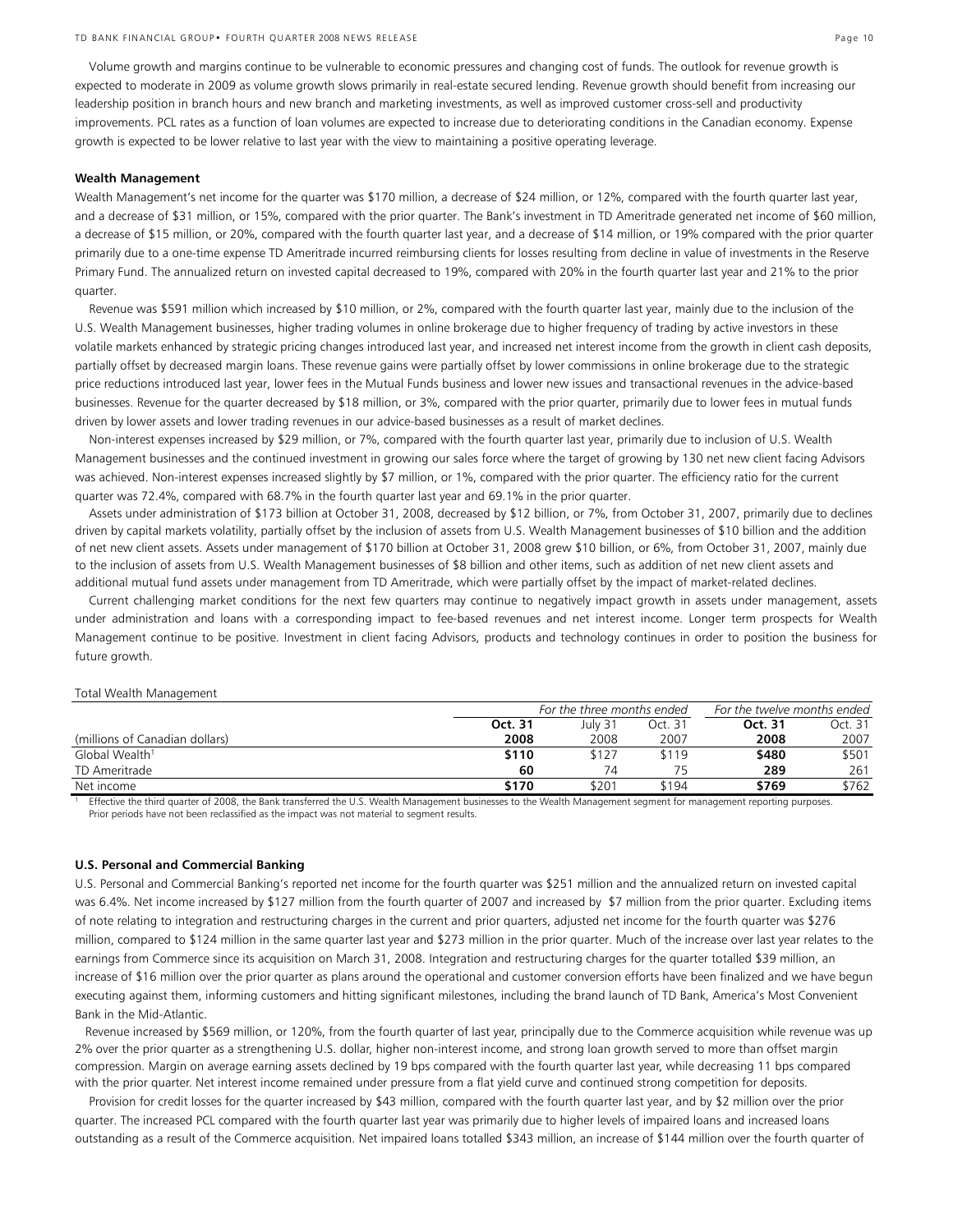Volume growth and margins continue to be vulnerable to economic pressures and changing cost of funds. The outlook for revenue growth is expected to moderate in 2009 as volume growth slows primarily in real-estate secured lending. Revenue growth should benefit from increasing our leadership position in branch hours and new branch and marketing investments, as well as improved customer cross-sell and productivity improvements. PCL rates as a function of loan volumes are expected to increase due to deteriorating conditions in the Canadian economy. Expense growth is expected to be lower relative to last year with the view to maintaining a positive operating leverage.

#### **Wealth Management**

Wealth Management's net income for the quarter was \$170 million, a decrease of \$24 million, or 12%, compared with the fourth quarter last year, and a decrease of \$31 million, or 15%, compared with the prior quarter. The Bank's investment in TD Ameritrade generated net income of \$60 million, a decrease of \$15 million, or 20%, compared with the fourth quarter last year, and a decrease of \$14 million, or 19% compared with the prior quarter primarily due to a one-time expense TD Ameritrade incurred reimbursing clients for losses resulting from decline in value of investments in the Reserve Primary Fund. The annualized return on invested capital decreased to 19%, compared with 20% in the fourth quarter last year and 21% to the prior quarter.

 Revenue was \$591 million which increased by \$10 million, or 2%, compared with the fourth quarter last year, mainly due to the inclusion of the U.S. Wealth Management businesses, higher trading volumes in online brokerage due to higher frequency of trading by active investors in these volatile markets enhanced by strategic pricing changes introduced last year, and increased net interest income from the growth in client cash deposits, partially offset by decreased margin loans. These revenue gains were partially offset by lower commissions in online brokerage due to the strategic price reductions introduced last year, lower fees in the Mutual Funds business and lower new issues and transactional revenues in the advice-based businesses. Revenue for the quarter decreased by \$18 million, or 3%, compared with the prior quarter, primarily due to lower fees in mutual funds driven by lower assets and lower trading revenues in our advice-based businesses as a result of market declines.

Non-interest expenses increased by \$29 million, or 7%, compared with the fourth quarter last year, primarily due to inclusion of U.S. Wealth Management businesses and the continued investment in growing our sales force where the target of growing by 130 net new client facing Advisors was achieved. Non-interest expenses increased slightly by \$7 million, or 1%, compared with the prior quarter. The efficiency ratio for the current quarter was 72.4%, compared with 68.7% in the fourth quarter last year and 69.1% in the prior quarter.

Assets under administration of \$173 billion at October 31, 2008, decreased by \$12 billion, or 7%, from October 31, 2007, primarily due to declines driven by capital markets volatility, partially offset by the inclusion of assets from U.S. Wealth Management businesses of \$10 billion and the addition of net new client assets. Assets under management of \$170 billion at October 31, 2008 grew \$10 billion, or 6%, from October 31, 2007, mainly due to the inclusion of assets from U.S. Wealth Management businesses of \$8 billion and other items, such as addition of net new client assets and additional mutual fund assets under management from TD Ameritrade, which were partially offset by the impact of market-related declines.

Current challenging market conditions for the next few quarters may continue to negatively impact growth in assets under management, assets under administration and loans with a corresponding impact to fee-based revenues and net interest income. Longer term prospects for Wealth Management continue to be positive. Investment in client facing Advisors, products and technology continues in order to position the business for future growth.

#### Total Wealth Management

|                                | For the three months ended |         |         | For the twelve months ended |         |  |
|--------------------------------|----------------------------|---------|---------|-----------------------------|---------|--|
|                                | Oct. 31                    | July 31 | Oct. 31 | Oct. 31                     | Oct. 31 |  |
| (millions of Canadian dollars) | 2008                       | 2008    | 2007    | 2008                        | 2007    |  |
| Global Wealth <sup>1</sup>     | \$110                      | \$127   | \$119   | \$480                       | \$501   |  |
| TD Ameritrade                  | 60                         | 74      |         | 289                         | 261     |  |
| Net income                     | \$170                      | \$201   | \$194   | \$769                       | \$762   |  |

1 Effective the third quarter of 2008, the Bank transferred the U.S. Wealth Management businesses to the Wealth Management segment for management reporting purposes. Prior periods have not been reclassified as the impact was not material to segment results.

#### **U.S. Personal and Commercial Banking**

U.S. Personal and Commercial Banking's reported net income for the fourth quarter was \$251 million and the annualized return on invested capital was 6.4%. Net income increased by \$127 million from the fourth quarter of 2007 and increased by \$7 million from the prior quarter. Excluding items of note relating to integration and restructuring charges in the current and prior quarters, adjusted net income for the fourth quarter was \$276 million, compared to \$124 million in the same quarter last year and \$273 million in the prior quarter. Much of the increase over last year relates to the earnings from Commerce since its acquisition on March 31, 2008. Integration and restructuring charges for the quarter totalled \$39 million, an increase of \$16 million over the prior quarter as plans around the operational and customer conversion efforts have been finalized and we have begun executing against them, informing customers and hitting significant milestones, including the brand launch of TD Bank, America's Most Convenient Bank in the Mid-Atlantic.

 Revenue increased by \$569 million, or 120%, from the fourth quarter of last year, principally due to the Commerce acquisition while revenue was up 2% over the prior quarter as a strengthening U.S. dollar, higher non-interest income, and strong loan growth served to more than offset margin compression. Margin on average earning assets declined by 19 bps compared with the fourth quarter last year, while decreasing 11 bps compared with the prior quarter. Net interest income remained under pressure from a flat yield curve and continued strong competition for deposits.

 Provision for credit losses for the quarter increased by \$43 million, compared with the fourth quarter last year, and by \$2 million over the prior quarter. The increased PCL compared with the fourth quarter last year was primarily due to higher levels of impaired loans and increased loans outstanding as a result of the Commerce acquisition. Net impaired loans totalled \$343 million, an increase of \$144 million over the fourth quarter of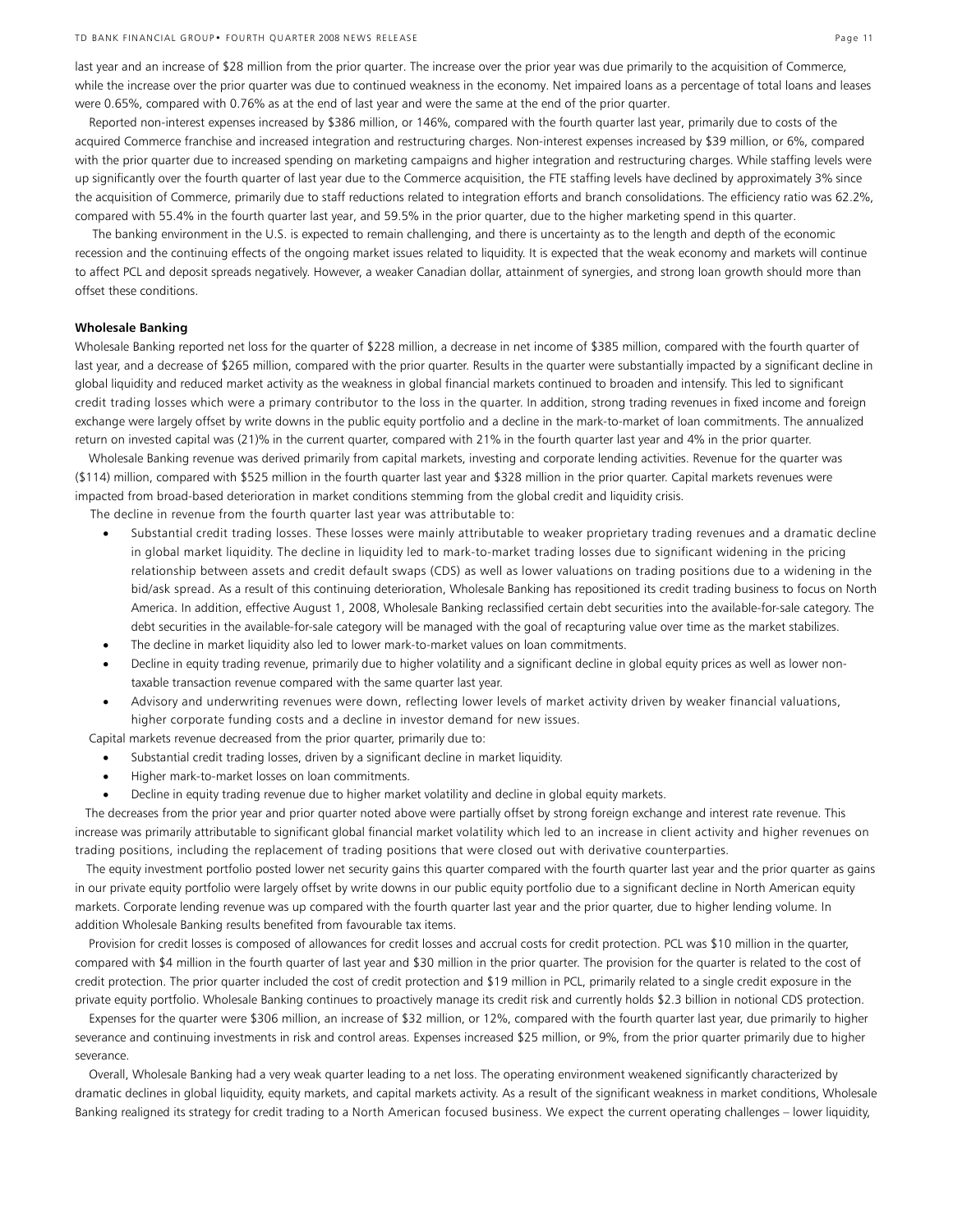last year and an increase of \$28 million from the prior quarter. The increase over the prior year was due primarily to the acquisition of Commerce, while the increase over the prior quarter was due to continued weakness in the economy. Net impaired loans as a percentage of total loans and leases were 0.65%, compared with 0.76% as at the end of last year and were the same at the end of the prior quarter.

 Reported non-interest expenses increased by \$386 million, or 146%, compared with the fourth quarter last year, primarily due to costs of the acquired Commerce franchise and increased integration and restructuring charges. Non-interest expenses increased by \$39 million, or 6%, compared with the prior quarter due to increased spending on marketing campaigns and higher integration and restructuring charges. While staffing levels were up significantly over the fourth quarter of last year due to the Commerce acquisition, the FTE staffing levels have declined by approximately 3% since the acquisition of Commerce, primarily due to staff reductions related to integration efforts and branch consolidations. The efficiency ratio was 62.2%, compared with 55.4% in the fourth quarter last year, and 59.5% in the prior quarter, due to the higher marketing spend in this quarter.

 The banking environment in the U.S. is expected to remain challenging, and there is uncertainty as to the length and depth of the economic recession and the continuing effects of the ongoing market issues related to liquidity. It is expected that the weak economy and markets will continue to affect PCL and deposit spreads negatively. However, a weaker Canadian dollar, attainment of synergies, and strong loan growth should more than offset these conditions.

#### **Wholesale Banking**

Wholesale Banking reported net loss for the quarter of \$228 million, a decrease in net income of \$385 million, compared with the fourth quarter of last year, and a decrease of \$265 million, compared with the prior quarter. Results in the quarter were substantially impacted by a significant decline in global liquidity and reduced market activity as the weakness in global financial markets continued to broaden and intensify. This led to significant credit trading losses which were a primary contributor to the loss in the quarter. In addition, strong trading revenues in fixed income and foreign exchange were largely offset by write downs in the public equity portfolio and a decline in the mark-to-market of loan commitments. The annualized return on invested capital was (21)% in the current quarter, compared with 21% in the fourth quarter last year and 4% in the prior quarter.

 Wholesale Banking revenue was derived primarily from capital markets, investing and corporate lending activities. Revenue for the quarter was (\$114) million, compared with \$525 million in the fourth quarter last year and \$328 million in the prior quarter. Capital markets revenues were impacted from broad-based deterioration in market conditions stemming from the global credit and liquidity crisis.

The decline in revenue from the fourth quarter last year was attributable to:

- Substantial credit trading losses. These losses were mainly attributable to weaker proprietary trading revenues and a dramatic decline in global market liquidity. The decline in liquidity led to mark-to-market trading losses due to significant widening in the pricing relationship between assets and credit default swaps (CDS) as well as lower valuations on trading positions due to a widening in the bid/ask spread. As a result of this continuing deterioration, Wholesale Banking has repositioned its credit trading business to focus on North America. In addition, effective August 1, 2008, Wholesale Banking reclassified certain debt securities into the available-for-sale category. The debt securities in the available-for-sale category will be managed with the goal of recapturing value over time as the market stabilizes.
- The decline in market liquidity also led to lower mark-to-market values on loan commitments.
- Decline in equity trading revenue, primarily due to higher volatility and a significant decline in global equity prices as well as lower nontaxable transaction revenue compared with the same quarter last year.
- Advisory and underwriting revenues were down, reflecting lower levels of market activity driven by weaker financial valuations, higher corporate funding costs and a decline in investor demand for new issues.

Capital markets revenue decreased from the prior quarter, primarily due to:

- Substantial credit trading losses, driven by a significant decline in market liquidity.
- Higher mark-to-market losses on loan commitments.
- Decline in equity trading revenue due to higher market volatility and decline in global equity markets.

 The decreases from the prior year and prior quarter noted above were partially offset by strong foreign exchange and interest rate revenue. This increase was primarily attributable to significant global financial market volatility which led to an increase in client activity and higher revenues on trading positions, including the replacement of trading positions that were closed out with derivative counterparties.

 The equity investment portfolio posted lower net security gains this quarter compared with the fourth quarter last year and the prior quarter as gains in our private equity portfolio were largely offset by write downs in our public equity portfolio due to a significant decline in North American equity markets. Corporate lending revenue was up compared with the fourth quarter last year and the prior quarter, due to higher lending volume. In addition Wholesale Banking results benefited from favourable tax items.

 Provision for credit losses is composed of allowances for credit losses and accrual costs for credit protection. PCL was \$10 million in the quarter, compared with \$4 million in the fourth quarter of last year and \$30 million in the prior quarter. The provision for the quarter is related to the cost of credit protection. The prior quarter included the cost of credit protection and \$19 million in PCL, primarily related to a single credit exposure in the private equity portfolio. Wholesale Banking continues to proactively manage its credit risk and currently holds \$2.3 billion in notional CDS protection.

 Expenses for the quarter were \$306 million, an increase of \$32 million, or 12%, compared with the fourth quarter last year, due primarily to higher severance and continuing investments in risk and control areas. Expenses increased \$25 million, or 9%, from the prior quarter primarily due to higher severance.

 Overall, Wholesale Banking had a very weak quarter leading to a net loss. The operating environment weakened significantly characterized by dramatic declines in global liquidity, equity markets, and capital markets activity. As a result of the significant weakness in market conditions, Wholesale Banking realigned its strategy for credit trading to a North American focused business. We expect the current operating challenges – lower liquidity,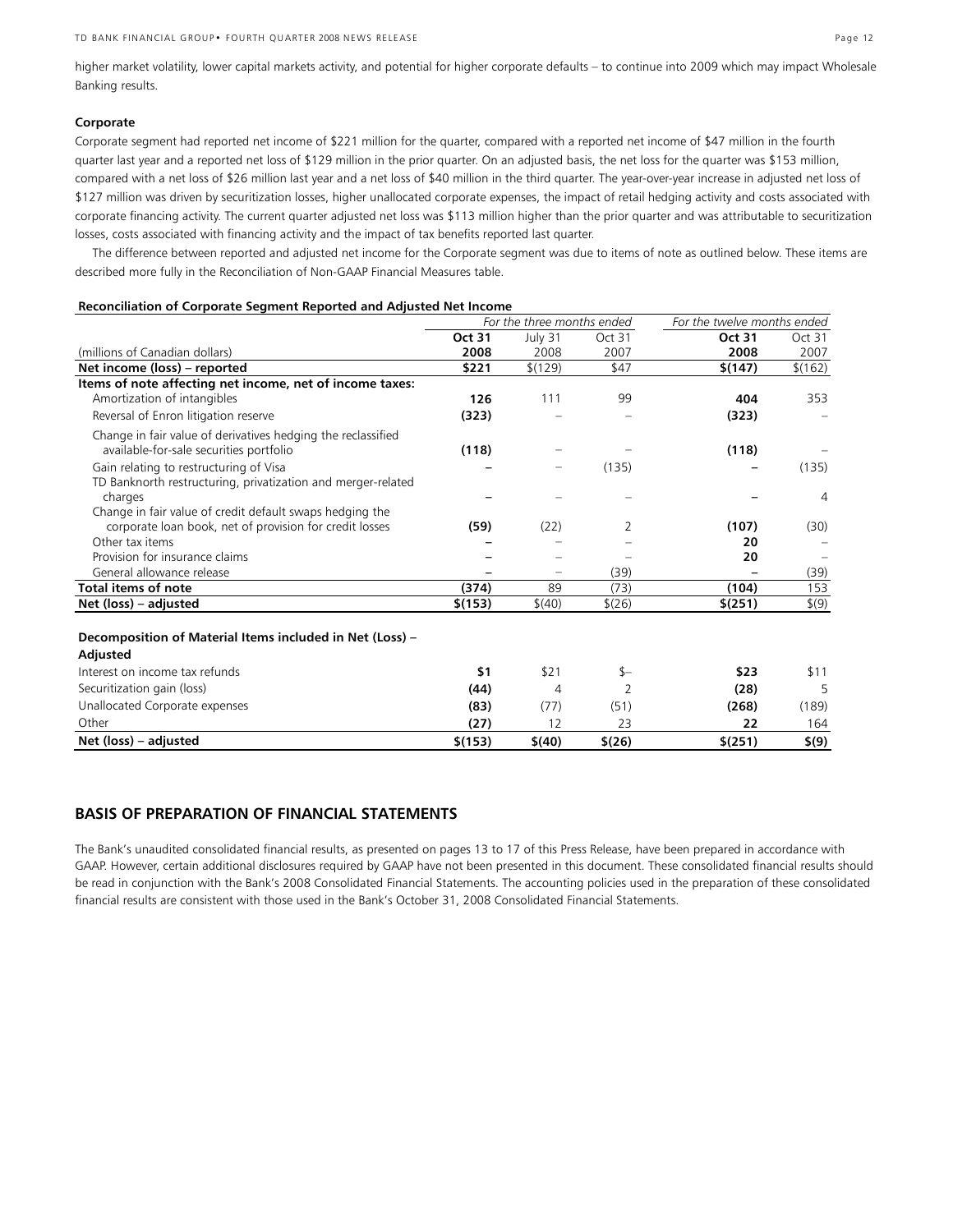higher market volatility, lower capital markets activity, and potential for higher corporate defaults – to continue into 2009 which may impact Wholesale Banking results.

#### **Corporate**

Corporate segment had reported net income of \$221 million for the quarter, compared with a reported net income of \$47 million in the fourth quarter last year and a reported net loss of \$129 million in the prior quarter. On an adjusted basis, the net loss for the quarter was \$153 million, compared with a net loss of \$26 million last year and a net loss of \$40 million in the third quarter. The year-over-year increase in adjusted net loss of \$127 million was driven by securitization losses, higher unallocated corporate expenses, the impact of retail hedging activity and costs associated with corporate financing activity. The current quarter adjusted net loss was \$113 million higher than the prior quarter and was attributable to securitization losses, costs associated with financing activity and the impact of tax benefits reported last quarter.

 The difference between reported and adjusted net income for the Corporate segment was due to items of note as outlined below. These items are described more fully in the Reconciliation of Non-GAAP Financial Measures table.

#### **Reconciliation of Corporate Segment Reported and Adjusted Net Income**

|                                                                                                         | For the three months ended |         |        | For the twelve months ended |         |
|---------------------------------------------------------------------------------------------------------|----------------------------|---------|--------|-----------------------------|---------|
|                                                                                                         | Oct 31                     | July 31 | Oct 31 | Oct 31                      | Oct 31  |
| (millions of Canadian dollars)                                                                          | 2008                       | 2008    | 2007   | 2008                        | 2007    |
| Net income (loss) - reported                                                                            | \$221                      | \$(129) | \$47   | \$(147)                     | \$(162) |
| Items of note affecting net income, net of income taxes:                                                |                            |         |        |                             |         |
| Amortization of intangibles                                                                             | 126                        | 111     | 99     | 404                         | 353     |
| Reversal of Enron litigation reserve                                                                    | (323)                      |         |        | (323)                       |         |
| Change in fair value of derivatives hedging the reclassified<br>available-for-sale securities portfolio | (118)                      |         |        | (118)                       |         |
| Gain relating to restructuring of Visa<br>TD Banknorth restructuring, privatization and merger-related  |                            |         | (135)  |                             | (135)   |
| charges<br>Change in fair value of credit default swaps hedging the                                     |                            |         |        |                             | 4       |
| corporate loan book, net of provision for credit losses                                                 | (59)                       | (22)    | 2      | (107)                       | (30)    |
| Other tax items                                                                                         |                            |         |        | 20                          |         |
| Provision for insurance claims                                                                          |                            |         |        | 20                          |         |
| General allowance release                                                                               |                            |         | (39)   |                             | (39)    |
| Total items of note                                                                                     | (374)                      | 89      | (73)   | (104)                       | 153     |
| Net (loss) – adjusted                                                                                   | \$(153)                    | \$(40)  | \$(26) | \$(251)                     | \$(9)   |
| Decomposition of Material Items included in Net (Loss) -<br>Adjusted                                    |                            |         |        |                             |         |
| Interest on income tax refunds                                                                          | \$1                        | \$21    | \$-    | \$23                        | \$11    |
| Securitization gain (loss)                                                                              | (44)                       | 4       | 2      | (28)                        | 5       |
| Unallocated Corporate expenses                                                                          | (83)                       | (77)    | (51)   | (268)                       | (189)   |

Other **(27)** 12 23 **22** 164 **Net (loss) – adjusted \$(153) \$(40) \$(26) \$(251) \$(9)**

# **BASIS OF PREPARATION OF FINANCIAL STATEMENTS**

The Bank's unaudited consolidated financial results, as presented on pages 13 to 17 of this Press Release, have been prepared in accordance with GAAP. However, certain additional disclosures required by GAAP have not been presented in this document. These consolidated financial results should be read in conjunction with the Bank's 2008 Consolidated Financial Statements. The accounting policies used in the preparation of these consolidated financial results are consistent with those used in the Bank's October 31, 2008 Consolidated Financial Statements.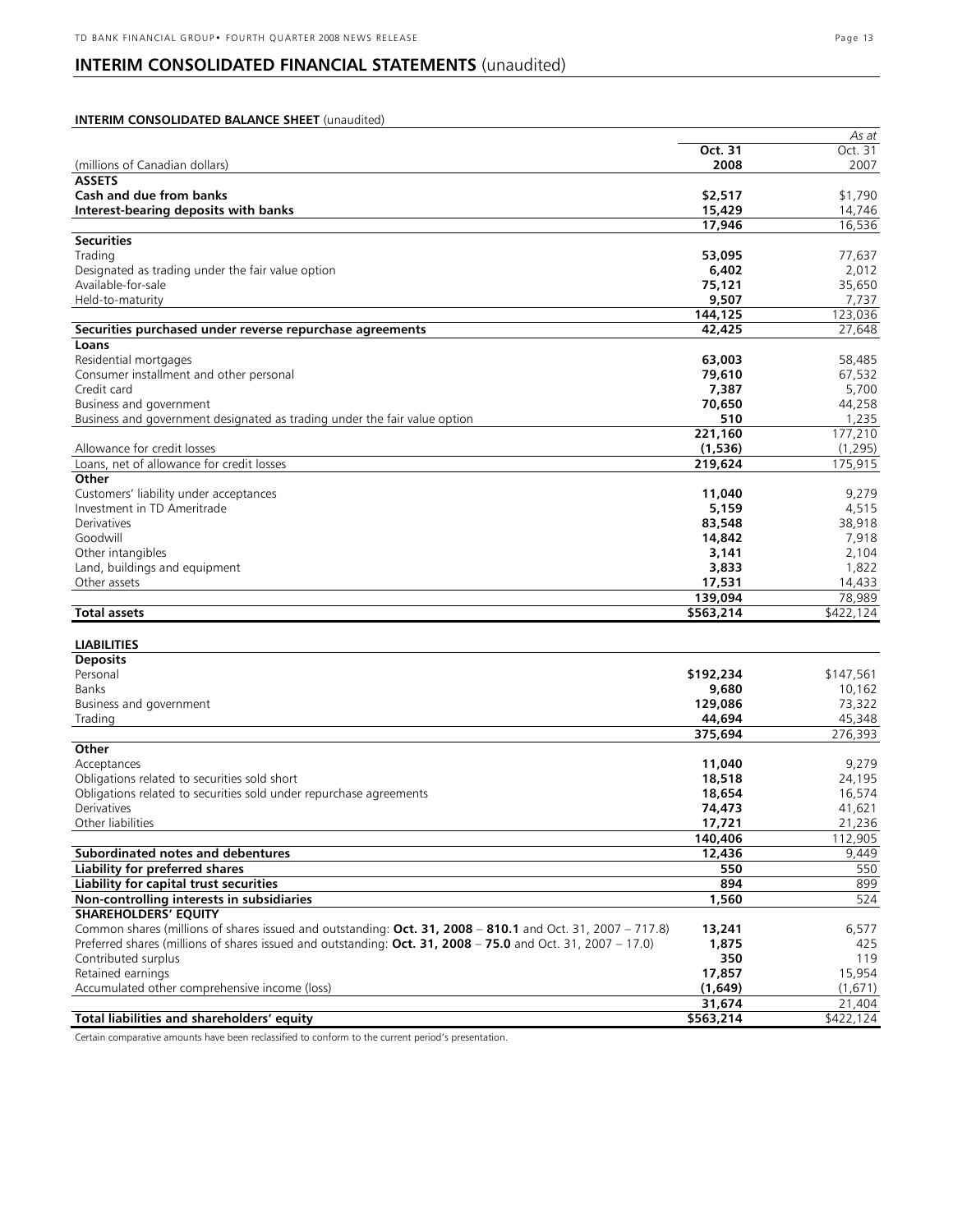# **INTERIM CONSOLIDATED FINANCIAL STATEMENTS** (unaudited)

#### **INTERIM CONSOLIDATED BALANCE SHEET** (unaudited)  *As at* **Oct. 31** Oct. 31 (millions of Canadian dollars) **2008** 2007 **ASSETS Cash and due from banks**  $$1,790$ **Interest-bearing deposits with banks** 15,429 14,746 **17,946** 16,536 **Securities**  Trading **53,095** 77,637 Designated as trading under the fair value option **6,402** 2,012 Available-for-sale **75,121** 35,650 Held-to-maturity **9,507** 7,737 **144,125** 123,036 **Securities purchased under reverse repurchase agreements 42,425** 27,648 **Loans**  Residential mortgages **63,003** 58,485 Consumer installment and other personal **79,610** 67,532 Credit card **7,387** 5,700 Business and government **70,650** 44,258 Business and government designated as trading under the fair value option **510** 1,235 **221,160** 177,210 Allowance for credit losses **(1,536)** (1,295) Loans, net of allowance for credit losses **219,624** 175,915 **Other**  Customers' liability under acceptances **11,040** 9,279 Investment in TD Ameritrade **5,159** 4,515 Derivatives **83,548** 38,918 Goodwill **14,842** 7,918 Other intangibles **3,141** 2,104 Land, buildings and equipment **3,833** 1,822 Other assets **17,531** 14,433 **139,094** 78,989 **Total assets \$563,214** \$422,124 **LIABILITIES Deposits**  Personal **\$192,234** \$147,561 Banks **9,680** 10,162 Business and government **129,086** 73,322 Trading **44,694** 45,348 **375,694** 276,393 **Other**  Acceptances **11,040** 9,279 Obligations related to securities sold short **18,518** 24,195 Obligations related to securities sold under repurchase agreements **18,654** 16,574 Derivatives **74,473** 41,621 Other liabilities **17,721** 21,236 **140,406** 112,905 **Subordinated notes and debentures 12,436 12,436 9,449 12,436 12,436 12,436 12,436 12,436 12,436 12,436 12,436 12,436 12,436 12,436 12,436 12,436 12,436 12,436 12,436 12,436 12,439 Liability for preferred shares 550** 550 **Liability for capital trust securities 894** 899 **Non-controlling interests in subsidiaries** 524 **1,560** 524 **SHAREHOLDERS' EQUITY**  Common shares (millions of shares issued and outstanding: **Oct. 31, 2008** – **810.1** and Oct. 31, 2007 – 717.8) **13,241** 6,577 Preferred shares (millions of shares issued and outstanding: **Oct. 31, 2008** – **75.0** and Oct. 31, 2007 – 17.0) **1,875** 425 Contributed surplus **350** 119 **Retained earnings** Accumulated other comprehensive income (loss) **(1,649)** (1,671) **31,674** 21,404 **Total liabilities and shareholders' equity \$563,214** \$422,124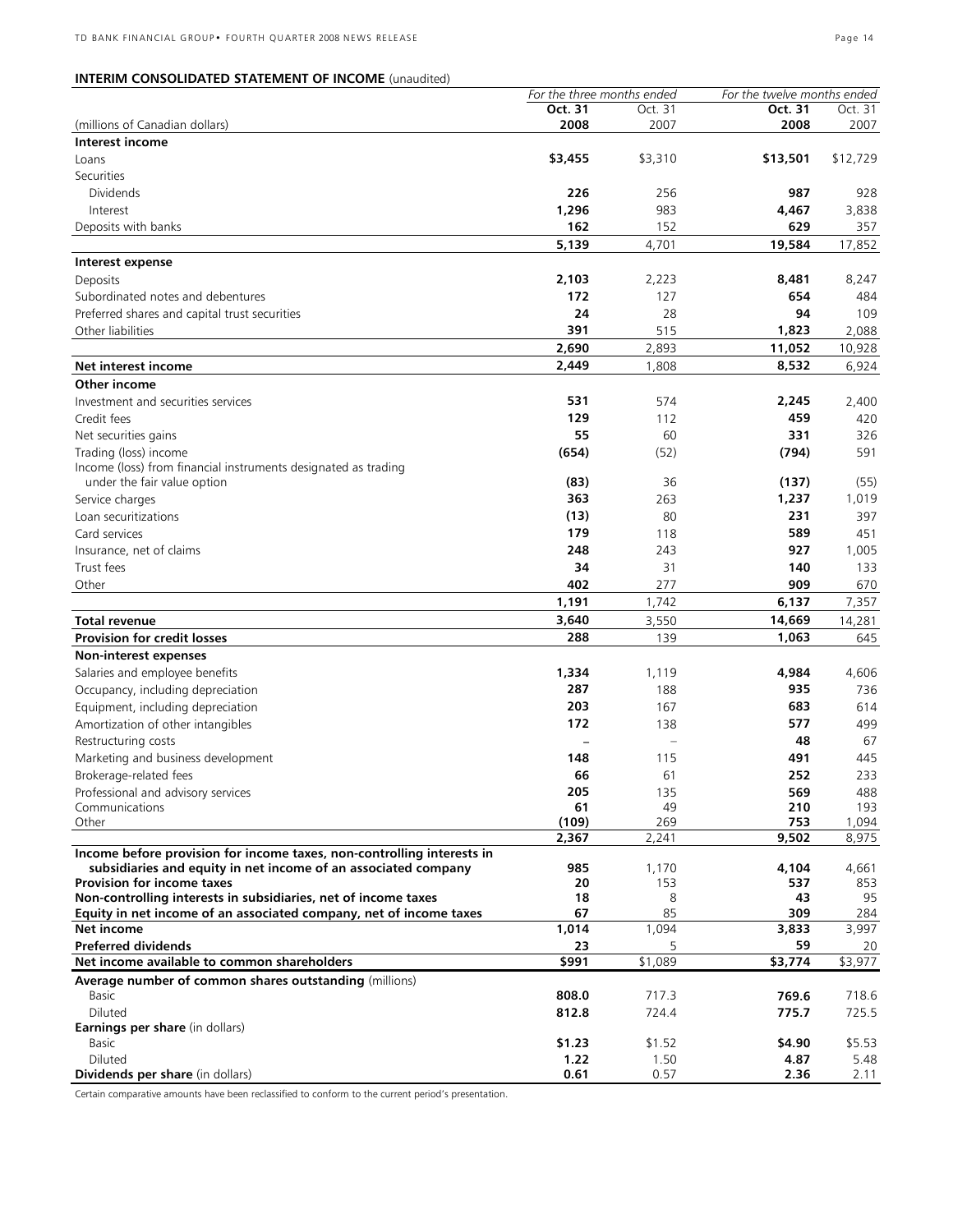# **INTERIM CONSOLIDATED STATEMENT OF INCOME** (unaudited)

|                                                                        | For the three months ended |         | For the twelve months ended |          |
|------------------------------------------------------------------------|----------------------------|---------|-----------------------------|----------|
|                                                                        | Oct. 31                    | Oct. 31 | Oct. 31                     | Oct. 31  |
| (millions of Canadian dollars)                                         | 2008                       | 2007    | 2008                        | 2007     |
| Interest income                                                        |                            |         |                             |          |
| Loans                                                                  | \$3,455                    | \$3,310 | \$13,501                    | \$12,729 |
| Securities                                                             |                            |         |                             |          |
| <b>Dividends</b>                                                       | 226                        | 256     | 987                         | 928      |
| Interest                                                               | 1,296                      | 983     | 4,467                       | 3,838    |
| Deposits with banks                                                    | 162                        | 152     | 629                         | 357      |
|                                                                        | 5,139                      | 4,701   | 19,584                      | 17,852   |
|                                                                        |                            |         |                             |          |
| Interest expense                                                       |                            |         |                             |          |
| Deposits                                                               | 2,103                      | 2,223   | 8,481                       | 8,247    |
| Subordinated notes and debentures                                      | 172                        | 127     | 654                         | 484      |
| Preferred shares and capital trust securities                          | 24                         | 28      | 94                          | 109      |
| Other liabilities                                                      | 391                        | 515     | 1,823                       | 2,088    |
|                                                                        | 2,690                      | 2,893   | 11,052                      | 10,928   |
| Net interest income                                                    | 2,449                      | 1,808   | 8,532                       | 6,924    |
| Other income                                                           |                            |         |                             |          |
| Investment and securities services                                     | 531                        | 574     | 2,245                       | 2,400    |
| Credit fees                                                            | 129                        | 112     | 459                         | 420      |
|                                                                        |                            |         |                             |          |
| Net securities gains                                                   | 55                         | 60      | 331                         | 326      |
| Trading (loss) income                                                  | (654)                      | (52)    | (794)                       | 591      |
| Income (loss) from financial instruments designated as trading         |                            |         |                             |          |
| under the fair value option                                            | (83)                       | 36      | (137)                       | (55)     |
| Service charges                                                        | 363                        | 263     | 1,237                       | 1,019    |
| Loan securitizations                                                   | (13)                       | 80      | 231                         | 397      |
| Card services                                                          | 179                        | 118     | 589                         | 451      |
| Insurance, net of claims                                               | 248                        | 243     | 927                         | 1,005    |
| Trust fees                                                             | 34                         | 31      | 140                         | 133      |
| Other                                                                  | 402                        | 277     | 909                         | 670      |
|                                                                        | 1,191                      | 1,742   | 6,137                       | 7,357    |
| Total revenue                                                          | 3,640                      | 3,550   | 14,669                      | 14,281   |
| <b>Provision for credit losses</b>                                     | 288                        | 139     | 1,063                       |          |
|                                                                        |                            |         |                             | 645      |
| Non-interest expenses                                                  |                            |         |                             |          |
| Salaries and employee benefits                                         | 1,334                      | 1,119   | 4,984                       | 4,606    |
| Occupancy, including depreciation                                      | 287                        | 188     | 935                         | 736      |
| Equipment, including depreciation                                      | 203                        | 167     | 683                         | 614      |
| Amortization of other intangibles                                      | 172                        | 138     | 577                         | 499      |
| Restructuring costs                                                    |                            |         | 48                          | 67       |
| Marketing and business development                                     | 148                        | 115     | 491                         | 445      |
| Brokerage-related fees                                                 | 66                         | 61      | 252                         | 233      |
| Professional and advisory services                                     | 205                        | 135     | 569                         | 488      |
| Communications                                                         | 61                         | 49      | 210                         | 193      |
| Other                                                                  | (109)                      | 269     | 753                         | 1,094    |
|                                                                        | 2,367                      | 2,241   | 9,502                       | 8,975    |
| Income before provision for income taxes, non-controlling interests in |                            |         |                             |          |
| subsidiaries and equity in net income of an associated company         | 985                        | 1,170   | 4,104                       | 4,661    |
| <b>Provision for income taxes</b>                                      | 20                         | 153     | 537                         | 853      |
| Non-controlling interests in subsidiaries, net of income taxes         | 18                         | 8       | 43                          | 95       |
| Equity in net income of an associated company, net of income taxes     | 67                         | 85      | 309                         | 284      |
| Net income                                                             | 1,014                      | 1,094   | 3,833                       | 3,997    |
| <b>Preferred dividends</b>                                             | 23                         | 5       | 59                          | 20       |
| Net income available to common shareholders                            | \$991                      | \$1,089 | \$3,774                     | \$3,977  |
| Average number of common shares outstanding (millions)                 |                            |         |                             |          |
| Basic                                                                  | 808.0                      | 717.3   | 769.6                       | 718.6    |
| Diluted                                                                | 812.8                      | 724.4   | 775.7                       | 725.5    |
| <b>Earnings per share</b> (in dollars)                                 |                            |         |                             |          |
| Basic                                                                  | \$1.23                     | \$1.52  | \$4.90                      | \$5.53   |
| Diluted                                                                | 1.22                       | 1.50    | 4.87                        | 5.48     |
| Dividends per share (in dollars)                                       | 0.61                       | 0.57    | 2.36                        | 2.11     |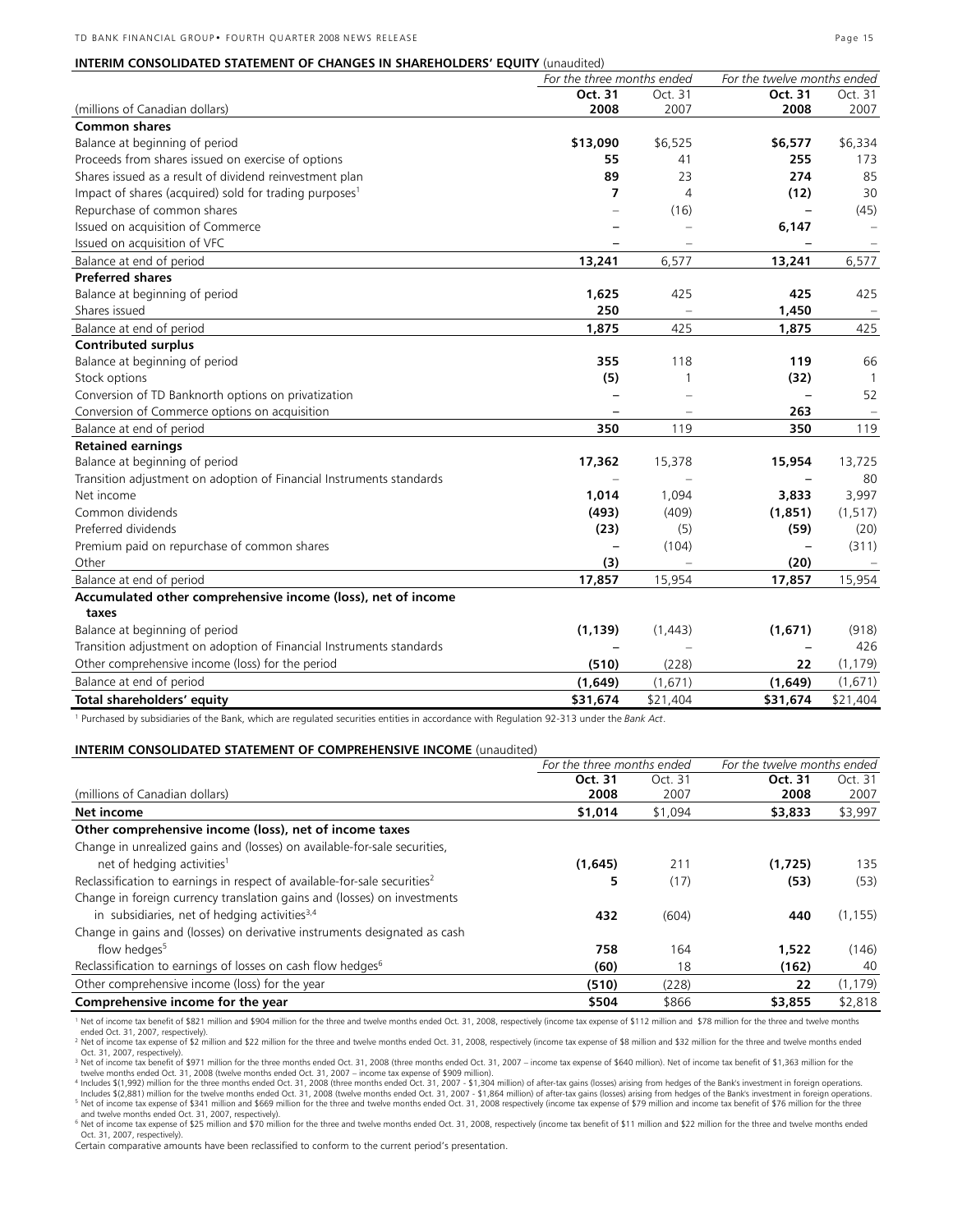|                                                                      | For the three months ended |                | For the twelve months endea |                          |  |
|----------------------------------------------------------------------|----------------------------|----------------|-----------------------------|--------------------------|--|
|                                                                      | Oct. 31                    | Oct. 31        | Oct. 31                     | Oct. 31                  |  |
| (millions of Canadian dollars)                                       | 2008                       | 2007           | 2008                        | 2007                     |  |
| <b>Common shares</b>                                                 |                            |                |                             |                          |  |
| Balance at beginning of period                                       | \$13,090                   | \$6,525        | \$6,577                     | \$6,334                  |  |
| Proceeds from shares issued on exercise of options                   | 55                         | 41             | 255                         | 173                      |  |
| Shares issued as a result of dividend reinvestment plan              | 89                         | 23             | 274                         | 85                       |  |
| Impact of shares (acquired) sold for trading purposes <sup>1</sup>   | 7                          | $\overline{4}$ | (12)                        | 30                       |  |
| Repurchase of common shares                                          |                            | (16)           |                             | (45)                     |  |
| Issued on acquisition of Commerce                                    |                            |                | 6,147                       | $\overline{\phantom{a}}$ |  |
| Issued on acquisition of VFC                                         |                            |                |                             | ÷                        |  |
| Balance at end of period                                             | 13,241                     | 6,577          | 13,241                      | 6,577                    |  |
| <b>Preferred shares</b>                                              |                            |                |                             |                          |  |
| Balance at beginning of period                                       | 1,625                      | 425            | 425                         | 425                      |  |
| Shares issued                                                        | 250                        |                | 1,450                       |                          |  |
| Balance at end of period                                             | 1,875                      | 425            | 1,875                       | 425                      |  |
| <b>Contributed surplus</b>                                           |                            |                |                             |                          |  |
| Balance at beginning of period                                       | 355                        | 118            | 119                         | 66                       |  |
| Stock options                                                        | (5)                        | 1              | (32)                        | $\mathbf{1}$             |  |
| Conversion of TD Banknorth options on privatization                  |                            |                |                             | 52                       |  |
| Conversion of Commerce options on acquisition                        |                            |                | 263                         |                          |  |
| Balance at end of period                                             | 350                        | 119            | 350                         | 119                      |  |
| <b>Retained earnings</b>                                             |                            |                |                             |                          |  |
| Balance at beginning of period                                       | 17,362                     | 15,378         | 15,954                      | 13,725                   |  |
| Transition adjustment on adoption of Financial Instruments standards |                            |                |                             | 80                       |  |
| Net income                                                           | 1,014                      | 1,094          | 3,833                       | 3,997                    |  |
| Common dividends                                                     | (493)                      | (409)          | (1,851)                     | (1, 517)                 |  |
| Preferred dividends                                                  | (23)                       | (5)            | (59)                        | (20)                     |  |
| Premium paid on repurchase of common shares                          |                            | (104)          |                             | (311)                    |  |
| Other                                                                | (3)                        |                | (20)                        |                          |  |
| Balance at end of period                                             | 17,857                     | 15,954         | 17,857                      | 15,954                   |  |
| Accumulated other comprehensive income (loss), net of income         |                            |                |                             |                          |  |
| taxes                                                                |                            |                |                             |                          |  |
| Balance at beginning of period                                       | (1, 139)                   | (1, 443)       | (1,671)                     | (918)                    |  |
| Transition adjustment on adoption of Financial Instruments standards |                            |                |                             | 426                      |  |
| Other comprehensive income (loss) for the period                     | (510)                      | (228)          | 22                          | (1, 179)                 |  |
| Balance at end of period                                             | (1,649)                    | (1,671)        | (1,649)                     | (1,671)                  |  |
| Total shareholders' equity                                           | \$31,674                   | \$21,404       | \$31,674                    | \$21,404                 |  |

1 Purchased by subsidiaries of the Bank, which are regulated securities entities in accordance with Regulation 92-313 under the *Bank Act*.

#### **INTERIM CONSOLIDATED STATEMENT OF COMPREHENSIVE INCOME** (unaudited)

|                                                                                       | For the three months ended |         | For the twelve months ended |          |
|---------------------------------------------------------------------------------------|----------------------------|---------|-----------------------------|----------|
|                                                                                       | Oct. 31                    | Oct. 31 | Oct. 31                     | Oct. 31  |
| (millions of Canadian dollars)                                                        | 2008                       | 2007    | 2008                        | 2007     |
| Net income                                                                            | \$1,014                    | \$1,094 | \$3,833                     | \$3,997  |
| Other comprehensive income (loss), net of income taxes                                |                            |         |                             |          |
| Change in unrealized gains and (losses) on available-for-sale securities,             |                            |         |                             |          |
| net of hedging activities <sup>1</sup>                                                | (1,645)                    | 211     | (1.725)                     | 135      |
| Reclassification to earnings in respect of available-for-sale securities <sup>2</sup> | 5                          | (17)    | (53)                        | (53)     |
| Change in foreign currency translation gains and (losses) on investments              |                            |         |                             |          |
| in subsidiaries, net of hedging activities $3,4$                                      | 432                        | (604)   | 440                         | (1, 155) |
| Change in gains and (losses) on derivative instruments designated as cash             |                            |         |                             |          |
| flow hedges <sup>5</sup>                                                              | 758                        | 164     | 1,522                       | (146)    |
| Reclassification to earnings of losses on cash flow hedges <sup>6</sup>               | (60)                       | 18      | (162)                       | 40       |
| Other comprehensive income (loss) for the year                                        | (510)                      | (228)   | 22                          | (1, 179) |
| Comprehensive income for the year                                                     | \$504                      | \$866   | \$3,855                     | \$2,818  |

1 Net of income tax benefit of \$821 million and \$904 million for the three and twelve months ended Oct. 31, 2008, respectively (income tax expense of \$112 million and \$78 million for the three and twelve months<br>ended Oct.

<sup>2</sup> Net of income tax expense of \$2 million and \$22 million for the three and twelve months ended Oct. 31, 2008, respectively (income tax expense of \$8 million and \$32 million for the three and twelve months ended <sup>2</sup> Net Oct. 31, 2007, respectively).

<sup>3</sup> Net of income tax benefit of \$971 million for the three months ended Oct. 31, 2008 (three months ended Oct. 31, 2007 – income tax expense of \$640 million). Net of income tax benefit of \$1,363 million for the<br>twelve mon

4 Includes \$(1,992) million for the three months ended Oct. 31, 2008 (three months ended Oct. 31, 2007 - \$1,304 million) of after-tax gains (losses) arising from hedges of the Bank's investment in foreign operations.<br>Inclu <sup>5</sup> Net of income tax expense of \$341 million and \$669 million for the three and twelve months ended Oct. 31, 2008 respectively (income tax expense of \$79 million and income tax benefit of \$76 million for the three

and twelve months ended Oct. 31, 2007, respectively).<br><sup>6</sup> Net of income tax expense of \$25 million and \$70 million for the three and twelve months ended Oct. 31, 2008, respectively (income tax benefit of \$11 million and \$2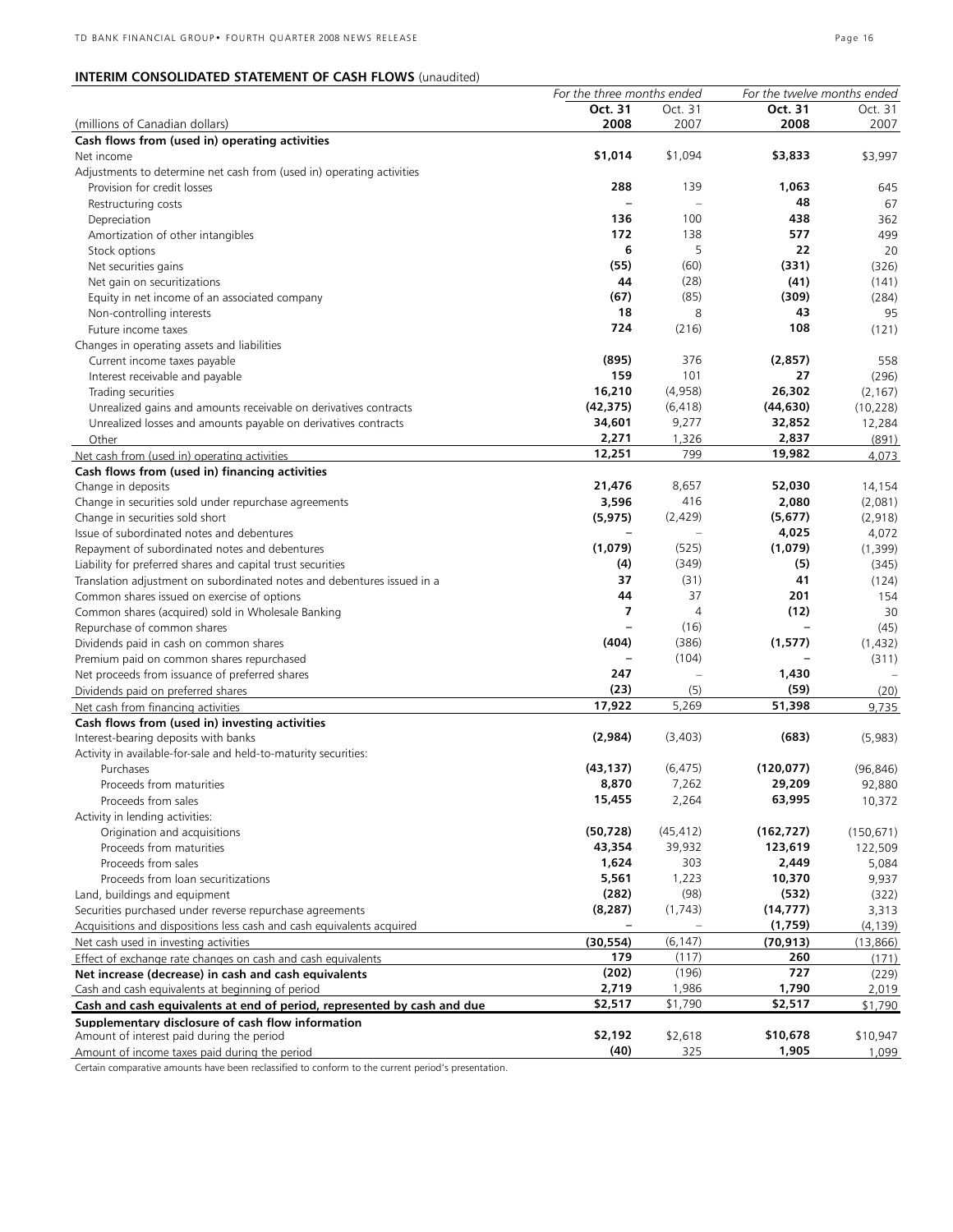# **INTERIM CONSOLIDATED STATEMENT OF CASH FLOWS** (unaudited)

|                                                                         | For the three months ended |                | For the twelve months ended |            |
|-------------------------------------------------------------------------|----------------------------|----------------|-----------------------------|------------|
|                                                                         | Oct. 31                    | Oct. 31        | Oct. 31                     | Oct. 31    |
| (millions of Canadian dollars)                                          | 2008                       | 2007           | 2008                        | 2007       |
| Cash flows from (used in) operating activities                          |                            |                |                             |            |
| Net income                                                              | \$1,014                    | \$1,094        | \$3,833                     | \$3,997    |
| Adjustments to determine net cash from (used in) operating activities   |                            |                |                             |            |
| Provision for credit losses                                             | 288                        | 139            | 1,063                       | 645        |
| Restructuring costs                                                     |                            |                | 48                          | 67         |
| Depreciation                                                            | 136                        | 100            | 438                         | 362        |
| Amortization of other intangibles                                       | 172                        | 138            | 577                         | 499        |
| Stock options                                                           | 6                          | 5              | 22                          | 20         |
|                                                                         |                            |                |                             |            |
| Net securities gains                                                    | (55)                       | (60)           | (331)                       | (326)      |
| Net gain on securitizations                                             | 44                         | (28)           | (41)                        | (141)      |
| Equity in net income of an associated company                           | (67)                       | (85)           | (309)                       | (284)      |
| Non-controlling interests                                               | 18                         | 8              | 43                          | 95         |
| Future income taxes                                                     | 724                        | (216)          | 108                         | (121)      |
| Changes in operating assets and liabilities                             |                            |                |                             |            |
| Current income taxes payable                                            | (895)                      | 376            | (2,857)                     | 558        |
| Interest receivable and payable                                         | 159                        | 101            | 27                          | (296)      |
| Trading securities                                                      | 16,210                     | (4,958)        | 26,302                      | (2, 167)   |
| Unrealized gains and amounts receivable on derivatives contracts        | (42, 375)                  | (6, 418)       | (44, 630)                   | (10, 228)  |
| Unrealized losses and amounts payable on derivatives contracts          | 34,601                     | 9,277          | 32,852                      | 12,284     |
| Other                                                                   | 2,271                      | 1,326          | 2,837                       | (891)      |
|                                                                         | 12,251                     | 799            | 19,982                      |            |
| Net cash from (used in) operating activities                            |                            |                |                             | 4,073      |
| Cash flows from (used in) financing activities                          |                            |                |                             |            |
| Change in deposits                                                      | 21,476                     | 8,657          | 52,030                      | 14,154     |
| Change in securities sold under repurchase agreements                   | 3,596                      | 416            | 2,080                       | (2,081)    |
| Change in securities sold short                                         | (5, 975)                   | (2,429)        | (5, 677)                    | (2,918)    |
| Issue of subordinated notes and debentures                              |                            |                | 4,025                       | 4,072      |
| Repayment of subordinated notes and debentures                          | (1,079)                    | (525)          | (1,079)                     | (1, 399)   |
| Liability for preferred shares and capital trust securities             | (4)                        | (349)          | (5)                         | (345)      |
| Translation adjustment on subordinated notes and debentures issued in a | 37                         | (31)           | 41                          | (124)      |
| Common shares issued on exercise of options                             | 44                         | 37             | 201                         | 154        |
| Common shares (acquired) sold in Wholesale Banking                      | 7                          | $\overline{4}$ | (12)                        | 30         |
| Repurchase of common shares                                             |                            | (16)           |                             | (45)       |
| Dividends paid in cash on common shares                                 | (404)                      | (386)          | (1,577)                     | (1, 432)   |
| Premium paid on common shares repurchased                               |                            | (104)          |                             | (311)      |
| Net proceeds from issuance of preferred shares                          | 247                        |                | 1,430                       |            |
| Dividends paid on preferred shares                                      | (23)                       | (5)            | (59)                        | (20)       |
|                                                                         | 17,922                     | 5,269          | 51,398                      |            |
| Net cash from financing activities                                      |                            |                |                             | 9,735      |
| Cash flows from (used in) investing activities                          |                            |                |                             |            |
| Interest-bearing deposits with banks                                    | (2,984)                    | (3,403)        | (683)                       | (5,983)    |
| Activity in available-for-sale and held-to-maturity securities:         |                            |                |                             |            |
| Purchases                                                               | (43, 137)                  | (6, 475)       | (120, 077)                  | (96, 846)  |
| Proceeds from maturities                                                | 8.870                      | 7,262          | 29.209                      | 92,880     |
| Proceeds from sales                                                     | 15,455                     | 2,264          | 63,995                      | 10,372     |
| Activity in lending activities:                                         |                            |                |                             |            |
| Origination and acquisitions                                            | (50, 728)                  | (45, 412)      | (162, 727)                  | (150, 671) |
| Proceeds from maturities                                                | 43,354                     | 39,932         | 123,619                     | 122,509    |
| Proceeds from sales                                                     | 1,624                      | 303            | 2,449                       | 5,084      |
| Proceeds from loan securitizations                                      | 5,561                      | 1,223          | 10,370                      | 9,937      |
| Land, buildings and equipment                                           | (282)                      | (98)           | (532)                       | (322)      |
| Securities purchased under reverse repurchase agreements                | (8, 287)                   | (1, 743)       | (14, 777)                   | 3,313      |
| Acquisitions and dispositions less cash and cash equivalents acquired   |                            |                | (1,759)                     | (4, 139)   |
|                                                                         |                            |                |                             |            |
| Net cash used in investing activities                                   | (30, 554)                  | (6, 147)       | (70, 913)                   | (13,866)   |
| Effect of exchange rate changes on cash and cash equivalents            | 179                        | (117)          | 260                         | (171)      |
| Net increase (decrease) in cash and cash equivalents                    | (202)                      | (196)          | 727                         | (229)      |
| Cash and cash equivalents at beginning of period                        | 2,719                      | 1,986          | 1,790                       | 2,019      |
| Cash and cash equivalents at end of period, represented by cash and due | \$2,517                    | \$1,790        | \$2,517                     | \$1,790    |
| Supplementary disclosure of cash flow information                       |                            |                |                             |            |
| Amount of interest paid during the period                               | \$2,192                    | \$2,618        | \$10,678                    | \$10,947   |
| Amount of income taxes paid during the period                           | (40)                       | 325            | 1,905                       | 1,099      |
|                                                                         |                            |                |                             |            |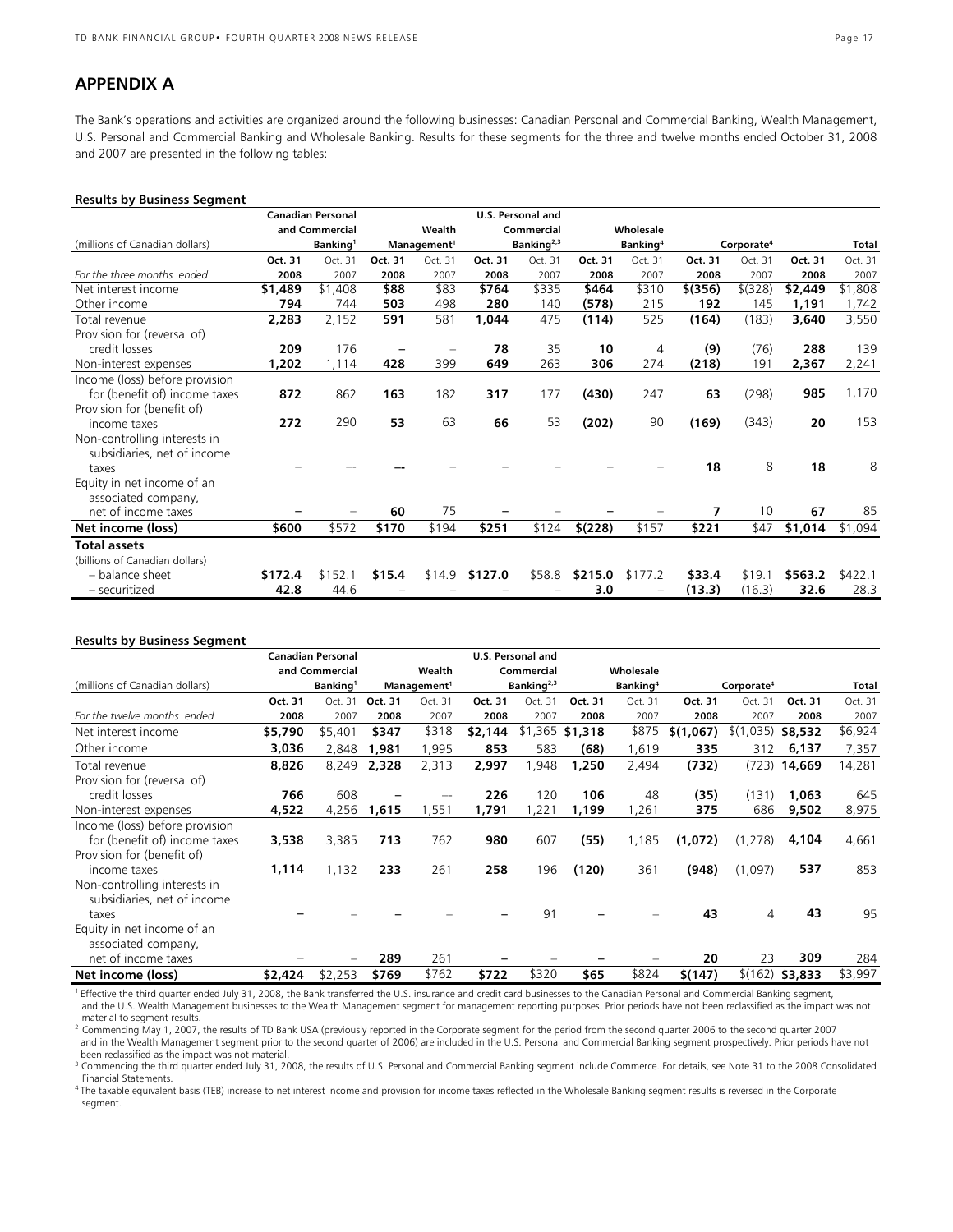# **APPENDIX A**

The Bank's operations and activities are organized around the following businesses: Canadian Personal and Commercial Banking, Wealth Management, U.S. Personal and Commercial Banking and Wholesale Banking. Results for these segments for the three and twelve months ended October 31, 2008 and 2007 are presented in the following tables:

#### **Results by Business Segment**

|                                |         | <b>Canadian Personal</b> |         |                         | U.S. Personal and |                        |         |                      |           |                        |         |         |
|--------------------------------|---------|--------------------------|---------|-------------------------|-------------------|------------------------|---------|----------------------|-----------|------------------------|---------|---------|
|                                |         | and Commercial           |         | Wealth                  |                   | Commercial             |         | Wholesale            |           |                        |         |         |
| (millions of Canadian dollars) |         | Banking <sup>1</sup>     |         | Management <sup>1</sup> |                   | Banking <sup>2,3</sup> |         | Banking <sup>4</sup> |           | Corporate <sup>4</sup> |         | Total   |
|                                | Oct. 31 | Oct. 31                  | Oct. 31 | Oct. 31                 | Oct. 31           | Oct. 31                | Oct. 31 | Oct. 31              | Oct. 31   | Oct. 31                | Oct. 31 | Oct. 31 |
| For the three months ended     | 2008    | 2007                     | 2008    | 2007                    | 2008              | 2007                   | 2008    | 2007                 | 2008      | 2007                   | 2008    | 2007    |
| Net interest income            | \$1,489 | \$1,408                  | \$88    | \$83                    | \$764             | \$335                  | \$464   | \$310                | $$$ (356) | \$ (328)               | \$2,449 | \$1,808 |
| Other income                   | 794     | 744                      | 503     | 498                     | 280               | 140                    | (578)   | 215                  | 192       | 145                    | 1,191   | 1,742   |
| Total revenue                  | 2,283   | 2,152                    | 591     | 581                     | 1,044             | 475                    | (114)   | 525                  | (164)     | (183)                  | 3,640   | 3,550   |
| Provision for (reversal of)    |         |                          |         |                         |                   |                        |         |                      |           |                        |         |         |
| credit losses                  | 209     | 176                      | -       |                         | 78                | 35                     | 10      | 4                    | (9)       | (76)                   | 288     | 139     |
| Non-interest expenses          | 1,202   | 1,114                    | 428     | 399                     | 649               | 263                    | 306     | 274                  | (218)     | 191                    | 2,367   | 2,241   |
| Income (loss) before provision |         |                          |         |                         |                   |                        |         |                      |           |                        |         |         |
| for (benefit of) income taxes  | 872     | 862                      | 163     | 182                     | 317               | 177                    | (430)   | 247                  | 63        | (298)                  | 985     | 1,170   |
| Provision for (benefit of)     |         |                          |         |                         |                   |                        |         |                      |           |                        |         |         |
| income taxes                   | 272     | 290                      | 53      | 63                      | 66                | 53                     | (202)   | 90                   | (169)     | (343)                  | 20      | 153     |
| Non-controlling interests in   |         |                          |         |                         |                   |                        |         |                      |           |                        |         |         |
| subsidiaries, net of income    |         |                          |         |                         |                   |                        |         |                      |           |                        |         |         |
| taxes                          |         |                          |         |                         |                   |                        |         |                      | 18        | 8                      | 18      | 8       |
| Equity in net income of an     |         |                          |         |                         |                   |                        |         |                      |           |                        |         |         |
| associated company,            |         |                          |         |                         |                   |                        |         |                      |           |                        |         |         |
| net of income taxes            |         |                          | 60      | 75                      |                   |                        |         |                      | 7         | 10                     | 67      | 85      |
| Net income (loss)              | \$600   | \$572                    | \$170   | \$194                   | \$251             | \$124                  | \$(228) | \$157                | \$221     | \$47                   | \$1,014 | \$1,094 |
| <b>Total assets</b>            |         |                          |         |                         |                   |                        |         |                      |           |                        |         |         |
| (billions of Canadian dollars) |         |                          |         |                         |                   |                        |         |                      |           |                        |         |         |
| - balance sheet                | \$172.4 | \$152.1                  | \$15.4  | \$14.9                  | \$127.0           | \$58.8                 | \$215.0 | \$177.2              | \$33.4    | \$19.1                 | \$563.2 | \$422.1 |
| - securitized                  | 42.8    | 44.6                     |         |                         |                   |                        | 3.0     |                      | (13.3)    | (16.3)                 | 32.6    | 28.3    |

#### **Results by Business Segment**

|                                                   |         | <b>Canadian Personal</b> |         |                         |         | U.S. Personal and      |                  |                      |           |                        |         |         |
|---------------------------------------------------|---------|--------------------------|---------|-------------------------|---------|------------------------|------------------|----------------------|-----------|------------------------|---------|---------|
|                                                   |         | and Commercial           |         | Wealth                  |         | Commercial             |                  | Wholesale            |           |                        |         |         |
| (millions of Canadian dollars)                    |         | Banking <sup>1</sup>     |         | Management <sup>1</sup> |         | Banking <sup>2,3</sup> |                  | Banking <sup>4</sup> |           | Corporate <sup>4</sup> |         | Total   |
|                                                   | Oct. 31 | Oct. 31                  | Oct. 31 | Oct. 31                 | Oct. 31 | Oct. 31                | Oct. 31          | Oct. 31              | Oct. 31   | Oct. 31                | Oct. 31 | Oct. 31 |
| For the twelve months ended                       | 2008    | 2007                     | 2008    | 2007                    | 2008    | 2007                   | 2008             | 2007                 | 2008      | 2007                   | 2008    | 2007    |
| Net interest income                               | \$5,790 | \$5,401                  | \$347   | \$318                   | \$2,144 |                        | $$1,365$ \$1,318 | \$875                | \$(1,067) | \$(1)<br>,035)         | \$8,532 | \$6,924 |
| Other income                                      | 3,036   | 2,848                    | 1,981   | 1,995                   | 853     | 583                    | (68)             | 1,619                | 335       | 312                    | 6,137   | 7,357   |
| Total revenue                                     | 8,826   | 8,249                    | 2,328   | 2,313                   | 2,997   | ,948                   | 1,250            | 2,494                | (732)     | (723)                  | 14,669  | 14,281  |
| Provision for (reversal of)                       |         |                          |         |                         |         |                        |                  |                      |           |                        |         |         |
| credit losses                                     | 766     | 608                      |         |                         | 226     | 120                    | 106              | 48                   | (35)      | (131)                  | 1,063   | 645     |
| Non-interest expenses                             | 4,522   | 4,256                    | 1,615   | 1,551                   | 1,791   | ,221                   | 1,199            | 1,261                | 375       | 686                    | 9,502   | 8,975   |
| Income (loss) before provision                    |         |                          |         |                         |         |                        |                  |                      |           |                        |         |         |
| for (benefit of) income taxes                     | 3,538   | 3,385                    | 713     | 762                     | 980     | 607                    | (55)             | 1,185                | (1,072)   | (1, 278)               | 4,104   | 4,661   |
| Provision for (benefit of)                        |         |                          |         |                         |         |                        |                  |                      |           |                        |         |         |
| income taxes                                      | 1,114   | 1,132                    | 233     | 261                     | 258     | 196                    | (120)            | 361                  | (948)     | (1,097)                | 537     | 853     |
| Non-controlling interests in                      |         |                          |         |                         |         |                        |                  |                      |           |                        |         |         |
| subsidiaries, net of income<br>taxes              |         |                          |         |                         |         | 91                     |                  |                      | 43        | 4                      | 43      | 95      |
|                                                   |         |                          |         |                         |         |                        |                  |                      |           |                        |         |         |
| Equity in net income of an<br>associated company, |         |                          |         |                         |         |                        |                  |                      |           |                        |         |         |
| net of income taxes                               |         |                          | 289     | 261                     |         |                        |                  |                      | 20        | 23                     | 309     | 284     |
| Net income (loss)                                 | \$2,424 | \$2,253                  | \$769   | \$762                   | \$722   | \$320                  | \$65             | \$824                | \$(147)   | \$(162)                | \$3,833 | \$3,997 |

1 Effective the third quarter ended July 31, 2008, the Bank transferred the U.S. insurance and credit card businesses to the Canadian Personal and Commercial Banking segment, and the U.S. Wealth Management businesses to the Wealth Management segment for management reporting purposes. Prior periods have not been reclassified as the impact was not material to segment results.

<sup>2</sup> Commencing May 1, 2007, the results of TD Bank USA (previously reported in the Corporate segment for the period from the second quarter 2006 to the second quarter 2006 and in the Wealth Management segment prior to the second quarter of 2006) are included in the U.S. Personal and Commercial Banking segment prospectively. Prior periods have not been reclassified as the impact was not material.

<sup>3</sup> Commencing the third quarter ended July 31, 2008, the results of U.S. Personal and Commercial Banking segment include Commerce. For details, see Note 31 to the 2008 Consolidated Financial Statements.

4 The taxable equivalent basis (TEB) increase to net interest income and provision for income taxes reflected in the Wholesale Banking segment results is reversed in the Corporate segment.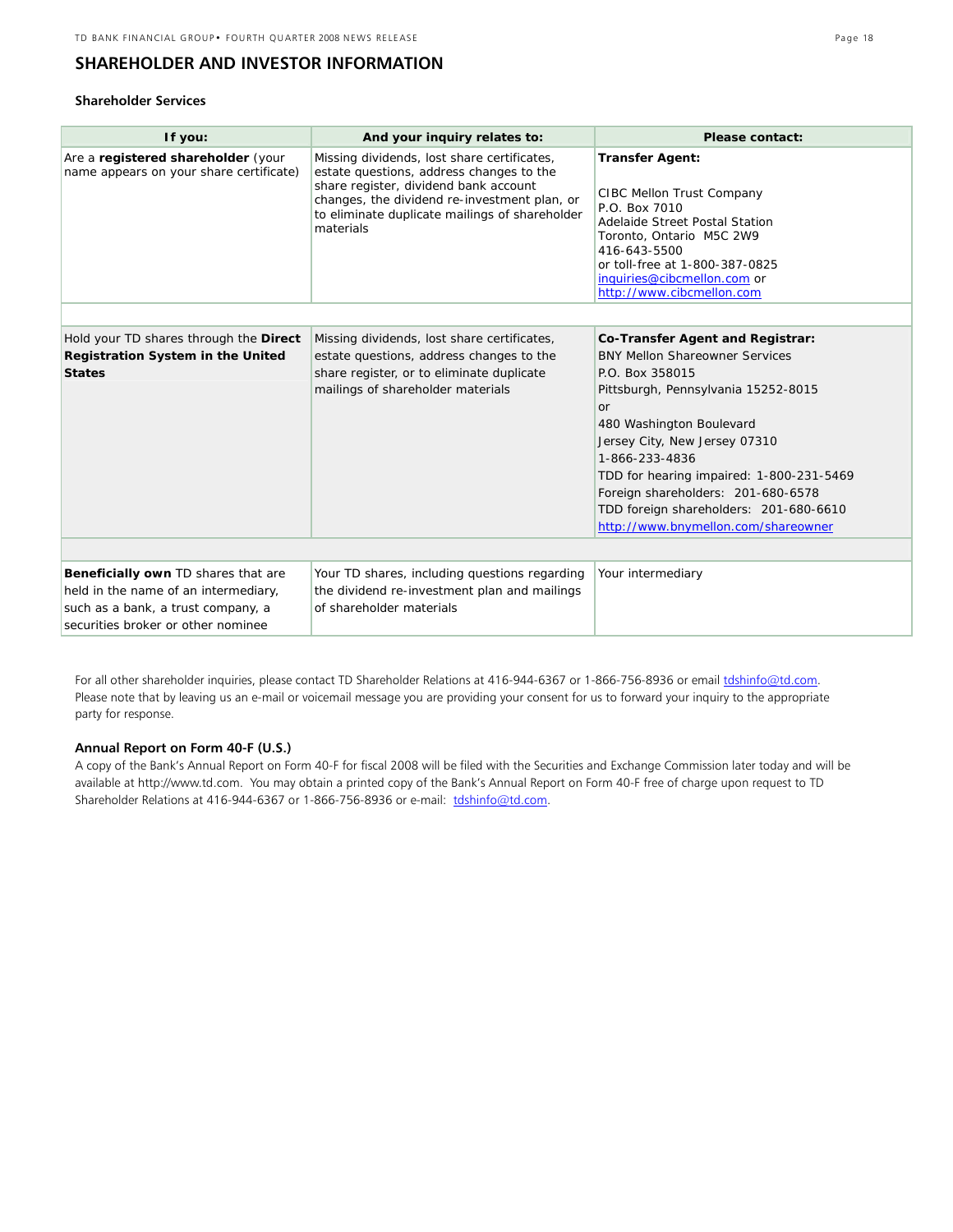# **SHAREHOLDER AND INVESTOR INFORMATION**

### **Shareholder Services**

| If you:                                                                                                                                                 | And your inquiry relates to:                                                                                                                                                                                                                    | <b>Please contact:</b>                                                                                                                                                                                                                                                                                                                                                                             |  |  |  |  |
|---------------------------------------------------------------------------------------------------------------------------------------------------------|-------------------------------------------------------------------------------------------------------------------------------------------------------------------------------------------------------------------------------------------------|----------------------------------------------------------------------------------------------------------------------------------------------------------------------------------------------------------------------------------------------------------------------------------------------------------------------------------------------------------------------------------------------------|--|--|--|--|
| Are a registered shareholder (your<br>name appears on your share certificate)                                                                           | Missing dividends, lost share certificates,<br>estate questions, address changes to the<br>share register, dividend bank account<br>changes, the dividend re-investment plan, or<br>to eliminate duplicate mailings of shareholder<br>materials | <b>Transfer Agent:</b><br>CIBC Mellon Trust Company<br>P.O. Box 7010<br>Adelaide Street Postal Station<br>Toronto, Ontario M5C 2W9<br>416-643-5500<br>or toll-free at 1-800-387-0825<br>inquiries@cibcmellon.com or<br>http://www.cibcmellon.com                                                                                                                                                   |  |  |  |  |
|                                                                                                                                                         |                                                                                                                                                                                                                                                 |                                                                                                                                                                                                                                                                                                                                                                                                    |  |  |  |  |
| Hold your TD shares through the Direct<br><b>Registration System in the United</b><br><b>States</b>                                                     | Missing dividends, lost share certificates,<br>estate questions, address changes to the<br>share register, or to eliminate duplicate<br>mailings of shareholder materials                                                                       | <b>Co-Transfer Agent and Registrar:</b><br><b>BNY Mellon Shareowner Services</b><br>P.O. Box 358015<br>Pittsburgh, Pennsylvania 15252-8015<br>or<br>480 Washington Boulevard<br>Jersey City, New Jersey 07310<br>1-866-233-4836<br>TDD for hearing impaired: 1-800-231-5469<br>Foreign shareholders: 201-680-6578<br>TDD foreign shareholders: 201-680-6610<br>http://www.bnymellon.com/shareowner |  |  |  |  |
|                                                                                                                                                         |                                                                                                                                                                                                                                                 |                                                                                                                                                                                                                                                                                                                                                                                                    |  |  |  |  |
| Beneficially own TD shares that are<br>held in the name of an intermediary,<br>such as a bank, a trust company, a<br>securities broker or other nominee | Your TD shares, including questions regarding<br>the dividend re-investment plan and mailings<br>of shareholder materials                                                                                                                       | Your intermediary                                                                                                                                                                                                                                                                                                                                                                                  |  |  |  |  |

For all other shareholder inquiries, please contact TD Shareholder Relations at 416-944-6367 or 1-866-756-8936 or email tdshinfo@td.com. Please note that by leaving us an e-mail or voicemail message you are providing your consent for us to forward your inquiry to the appropriate party for response.

#### **Annual Report on Form 40-F (U.S.)**

A copy of the Bank's Annual Report on Form 40-F for fiscal 2008 will be filed with the Securities and Exchange Commission later today and will be available at http://www.td.com. You may obtain a printed copy of the Bank's Annual Report on Form 40-F free of charge upon request to TD Shareholder Relations at 416-944-6367 or 1-866-756-8936 or e-mail: tdshinfo@td.com.